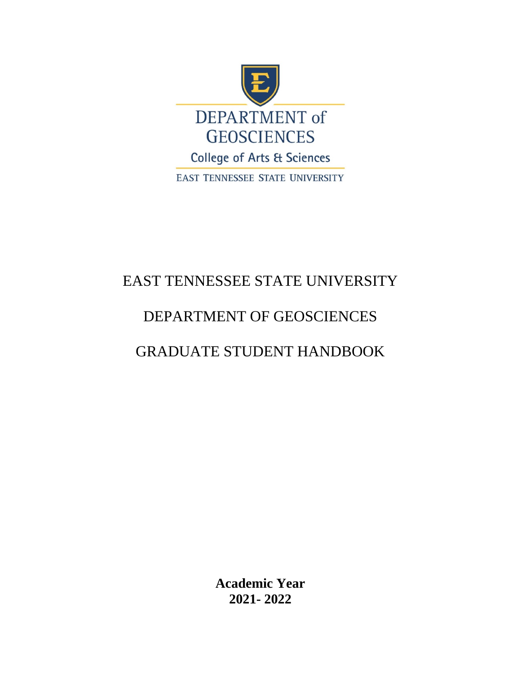

# EAST TENNESSEE STATE UNIVERSITY

# DEPARTMENT OF GEOSCIENCES

# GRADUATE STUDENT HANDBOOK

**Academic Year 2021- 2022**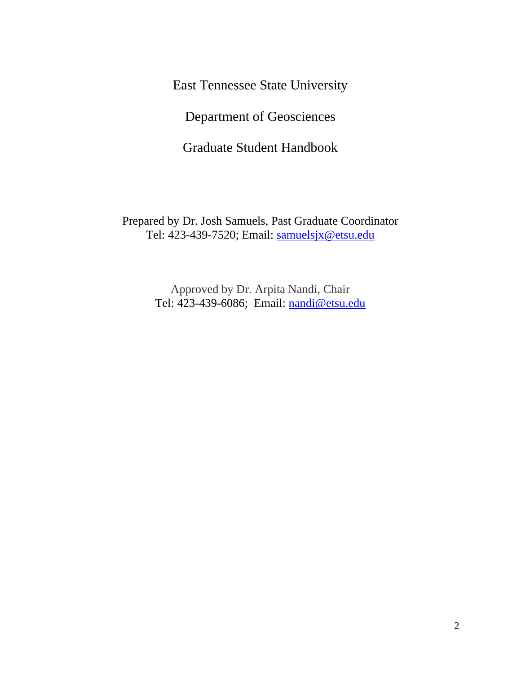East Tennessee State University

Department of Geosciences

Graduate Student Handbook

Prepared by Dr. Josh Samuels, Past Graduate Coordinator Tel: 423-439-7520; Email: [samuelsjx@etsu.edu](mailto:samuelsjx@etsu.edu)

> Approved by Dr. Arpita Nandi, Chair Tel: 423-439-6086; Email: [nandi@etsu.edu](mailto:nandi@etsu.edu)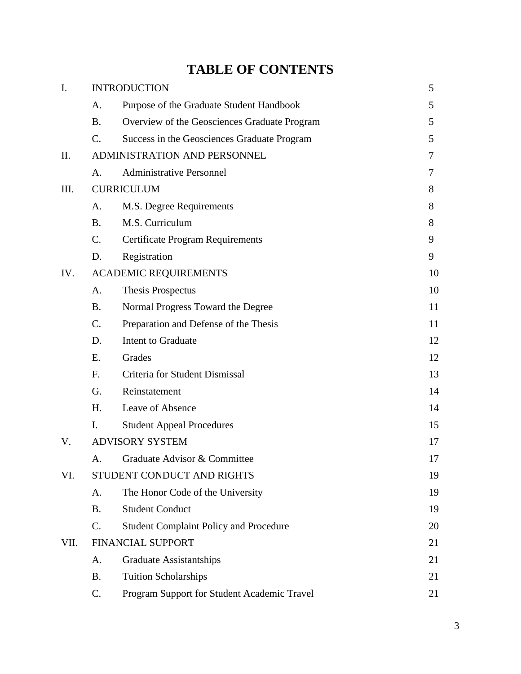# **TABLE OF CONTENTS**

| $\mathbf{I}$ . | <b>INTRODUCTION</b> |                                               |    |
|----------------|---------------------|-----------------------------------------------|----|
|                | A.                  | Purpose of the Graduate Student Handbook      | 5  |
|                | <b>B.</b>           | Overview of the Geosciences Graduate Program  | 5  |
|                | C.                  | Success in the Geosciences Graduate Program   | 5  |
| Π.             |                     | ADMINISTRATION AND PERSONNEL                  | 7  |
|                | A.                  | <b>Administrative Personnel</b>               | 7  |
| III.           |                     | <b>CURRICULUM</b>                             | 8  |
|                | A.                  | M.S. Degree Requirements                      | 8  |
|                | <b>B.</b>           | M.S. Curriculum                               | 8  |
|                | C.                  | <b>Certificate Program Requirements</b>       | 9  |
|                | D.                  | Registration                                  | 9  |
| IV.            |                     | <b>ACADEMIC REQUIREMENTS</b>                  | 10 |
|                | A.                  | Thesis Prospectus                             | 10 |
|                | <b>B.</b>           | Normal Progress Toward the Degree             | 11 |
|                | C.                  | Preparation and Defense of the Thesis         | 11 |
|                | D.                  | Intent to Graduate                            | 12 |
|                | E.                  | Grades                                        | 12 |
|                | F.                  | Criteria for Student Dismissal                | 13 |
|                | G.                  | Reinstatement                                 | 14 |
|                | H.                  | Leave of Absence                              | 14 |
|                | I.                  | <b>Student Appeal Procedures</b>              | 15 |
| V.             |                     | <b>ADVISORY SYSTEM</b>                        | 17 |
|                | Α.                  | Graduate Advisor & Committee                  | 17 |
| VI.            |                     | STUDENT CONDUCT AND RIGHTS                    | 19 |
|                | A.                  | The Honor Code of the University              | 19 |
|                | <b>B.</b>           | <b>Student Conduct</b>                        | 19 |
|                | C.                  | <b>Student Complaint Policy and Procedure</b> | 20 |
| VII.           |                     | FINANCIAL SUPPORT                             | 21 |
|                | A.                  | <b>Graduate Assistantships</b>                | 21 |
|                | <b>B.</b>           | <b>Tuition Scholarships</b>                   | 21 |
|                | C.                  | Program Support for Student Academic Travel   | 21 |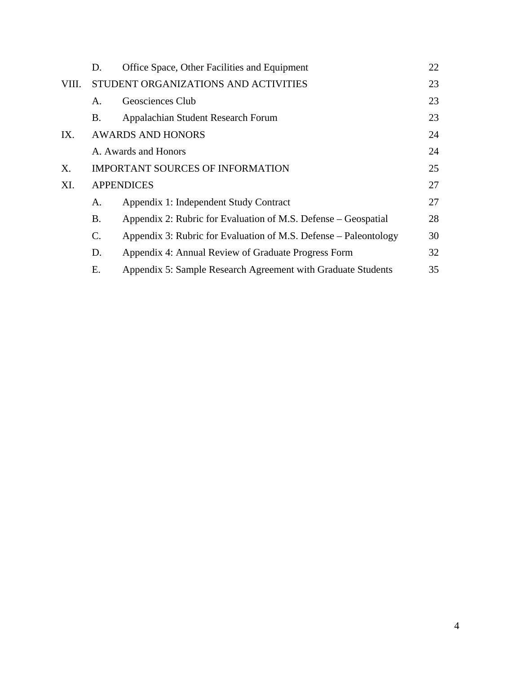|       | D.             | Office Space, Other Facilities and Equipment                     | 22 |  |  |
|-------|----------------|------------------------------------------------------------------|----|--|--|
| VIII. |                | STUDENT ORGANIZATIONS AND ACTIVITIES                             |    |  |  |
|       | A.             | Geosciences Club                                                 | 23 |  |  |
|       | В.             | Appalachian Student Research Forum                               | 23 |  |  |
| IX.   |                | <b>AWARDS AND HONORS</b>                                         | 24 |  |  |
|       |                | A. Awards and Honors                                             | 24 |  |  |
| Х.    |                | <b>IMPORTANT SOURCES OF INFORMATION</b>                          |    |  |  |
| XI.   |                | <b>APPENDICES</b>                                                | 27 |  |  |
|       | А.             | Appendix 1: Independent Study Contract                           | 27 |  |  |
|       | B.             | Appendix 2: Rubric for Evaluation of M.S. Defense – Geospatial   | 28 |  |  |
|       | $\mathbf{C}$ . | Appendix 3: Rubric for Evaluation of M.S. Defense – Paleontology | 30 |  |  |
|       | D.             | Appendix 4: Annual Review of Graduate Progress Form              | 32 |  |  |
|       | Е.             | Appendix 5: Sample Research Agreement with Graduate Students     | 35 |  |  |
|       |                |                                                                  |    |  |  |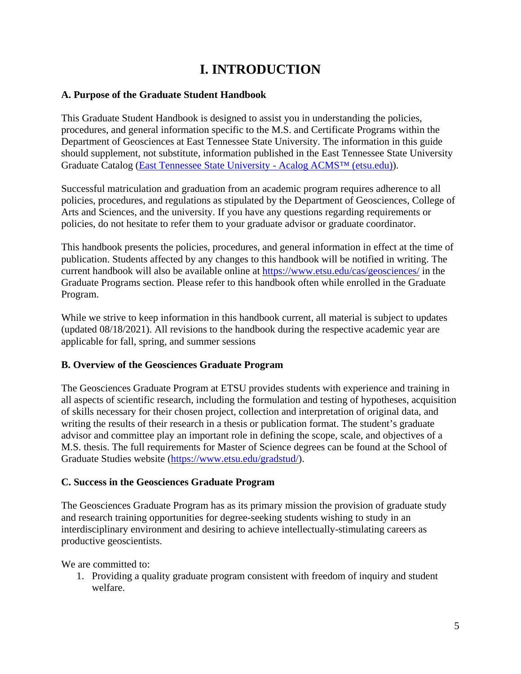## **I. INTRODUCTION**

#### **A. Purpose of the Graduate Student Handbook**

This Graduate Student Handbook is designed to assist you in understanding the policies, procedures, and general information specific to the M.S. and Certificate Programs within the Department of Geosciences at East Tennessee State University. The information in this guide should supplement, not substitute, information published in the East Tennessee State University Graduate Catalog [\(East Tennessee State University -](https://catalog.etsu.edu/index.php?catoid=41) Acalog ACMS™ (etsu.edu)).

Successful matriculation and graduation from an academic program requires adherence to all policies, procedures, and regulations as stipulated by the Department of Geosciences, College of Arts and Sciences, and the university. If you have any questions regarding requirements or policies, do not hesitate to refer them to your graduate advisor or graduate coordinator.

This handbook presents the policies, procedures, and general information in effect at the time of publication. Students affected by any changes to this handbook will be notified in writing. The current handbook will also be available online at<https://www.etsu.edu/cas/geosciences/> in the Graduate Programs section. Please refer to this handbook often while enrolled in the Graduate Program.

While we strive to keep information in this handbook current, all material is subject to updates (updated 08/18/2021). All revisions to the handbook during the respective academic year are applicable for fall, spring, and summer sessions

#### **B. Overview of the Geosciences Graduate Program**

The Geosciences Graduate Program at ETSU provides students with experience and training in all aspects of scientific research, including the formulation and testing of hypotheses, acquisition of skills necessary for their chosen project, collection and interpretation of original data, and writing the results of their research in a thesis or publication format. The student's graduate advisor and committee play an important role in defining the scope, scale, and objectives of a M.S. thesis. The full requirements for Master of Science degrees can be found at the School of Graduate Studies website [\(https://www.etsu.edu/gradstud/\)](https://www.etsu.edu/gradstud/).

#### **C. Success in the Geosciences Graduate Program**

The Geosciences Graduate Program has as its primary mission the provision of graduate study and research training opportunities for degree-seeking students wishing to study in an interdisciplinary environment and desiring to achieve intellectually-stimulating careers as productive geoscientists.

We are committed to:

1. Providing a quality graduate program consistent with freedom of inquiry and student welfare.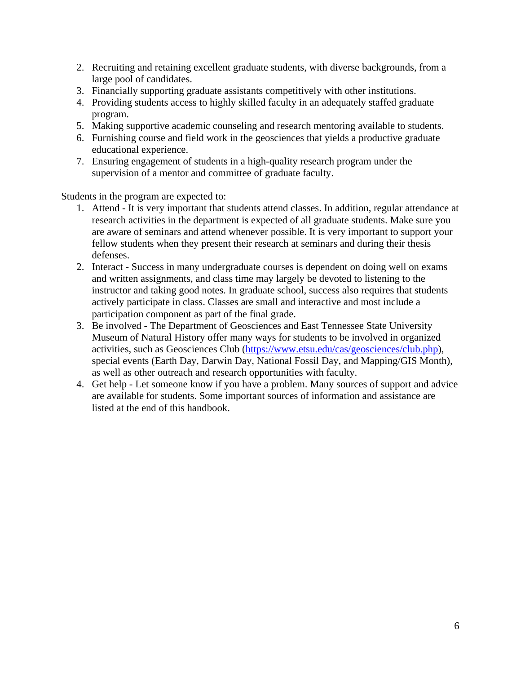- 2. Recruiting and retaining excellent graduate students, with diverse backgrounds, from a large pool of candidates.
- 3. Financially supporting graduate assistants competitively with other institutions.
- 4. Providing students access to highly skilled faculty in an adequately staffed graduate program.
- 5. Making supportive academic counseling and research mentoring available to students.
- 6. Furnishing course and field work in the geosciences that yields a productive graduate educational experience.
- 7. Ensuring engagement of students in a high-quality research program under the supervision of a mentor and committee of graduate faculty.

Students in the program are expected to:

- 1. Attend It is very important that students attend classes. In addition, regular attendance at research activities in the department is expected of all graduate students. Make sure you are aware of seminars and attend whenever possible. It is very important to support your fellow students when they present their research at seminars and during their thesis defenses.
- 2. Interact Success in many undergraduate courses is dependent on doing well on exams and written assignments, and class time may largely be devoted to listening to the instructor and taking good notes. In graduate school, success also requires that students actively participate in class. Classes are small and interactive and most include a participation component as part of the final grade.
- 3. Be involved The Department of Geosciences and East Tennessee State University Museum of Natural History offer many ways for students to be involved in organized activities, such as Geosciences Club [\(https://www.etsu.edu/cas/geosciences/club.php\)](https://www.etsu.edu/cas/geosciences/club.php), special events (Earth Day, Darwin Day, National Fossil Day, and Mapping/GIS Month), as well as other outreach and research opportunities with faculty.
- 4. Get help Let someone know if you have a problem. Many sources of support and advice are available for students. Some important sources of information and assistance are listed at the end of this handbook.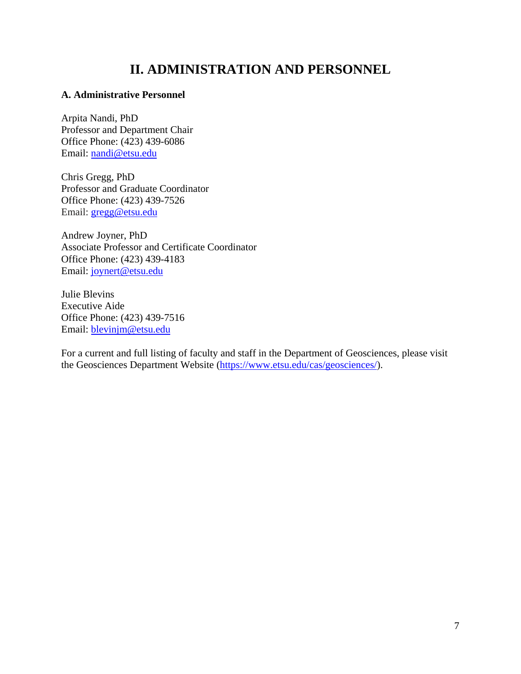### **II. ADMINISTRATION AND PERSONNEL**

#### **A. Administrative Personnel**

Arpita Nandi, PhD Professor and Department Chair Office Phone: (423) 439-6086 Email: [nandi@etsu.edu](mailto:nandi@etsu.edu)

Chris Gregg, PhD Professor and Graduate Coordinator Office Phone: (423) 439-7526 Email: [gregg@etsu.edu](mailto:gregg@etsu.edu)

Andrew Joyner, PhD Associate Professor and Certificate Coordinator Office Phone: (423) 439-4183 Email: [joynert@etsu.edu](mailto:joynert@etsu.edu)

Julie Blevins Executive Aide Office Phone: (423) 439-7516 Email: [blevinjm@etsu.edu](mailto:blevinjm@etsu.edu)

For a current and full listing of faculty and staff in the Department of Geosciences, please visit the Geosciences Department Website [\(https://www.etsu.edu/cas/geosciences/\)](https://www.etsu.edu/cas/geosciences/).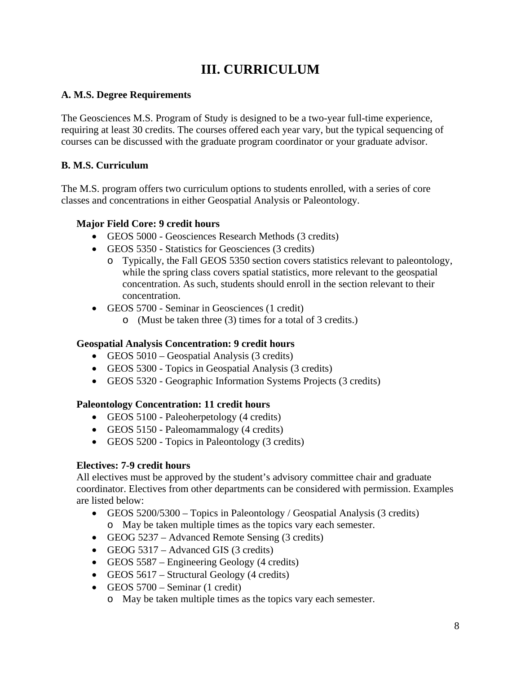## **III. CURRICULUM**

#### **A. M.S. Degree Requirements**

The Geosciences M.S. Program of Study is designed to be a two-year full-time experience, requiring at least 30 credits. The courses offered each year vary, but the typical sequencing of courses can be discussed with the graduate program coordinator or your graduate advisor.

#### **B. M.S. Curriculum**

The M.S. program offers two curriculum options to students enrolled, with a series of core classes and concentrations in either Geospatial Analysis or Paleontology.

#### **Major Field Core: 9 credit hours**

- GEOS 5000 Geosciences Research Methods (3 credits)
- GEOS 5350 Statistics for Geosciences (3 credits)
	- o Typically, the Fall GEOS 5350 section covers statistics relevant to paleontology, while the spring class covers spatial statistics, more relevant to the geospatial concentration. As such, students should enroll in the section relevant to their concentration.
- GEOS 5700 Seminar in Geosciences (1 credit)
	- o (Must be taken three (3) times for a total of 3 credits.)

### **Geospatial Analysis Concentration: 9 credit hours**

- GEOS 5010 Geospatial Analysis (3 credits)
- GEOS 5300 Topics in Geospatial Analysis (3 credits)
- GEOS 5320 Geographic Information Systems Projects (3 credits)

#### **Paleontology Concentration: 11 credit hours**

- GEOS 5100 Paleoherpetology (4 credits)
- GEOS 5150 Paleomammalogy (4 credits)
- GEOS 5200 Topics in Paleontology (3 credits)

#### **Electives: 7-9 credit hours**

All electives must be approved by the student's advisory committee chair and graduate coordinator. Electives from other departments can be considered with permission. Examples are listed below:

- GEOS 5200/5300 Topics in Paleontology / Geospatial Analysis (3 credits) o May be taken multiple times as the topics vary each semester.
- GEOG 5237 Advanced Remote Sensing (3 credits)
- GEOG 5317 Advanced GIS (3 credits)
- GEOS 5587 Engineering Geology (4 credits)
- GEOS 5617 Structural Geology (4 credits)
- GEOS 5700 Seminar (1 credit)
	- o May be taken multiple times as the topics vary each semester.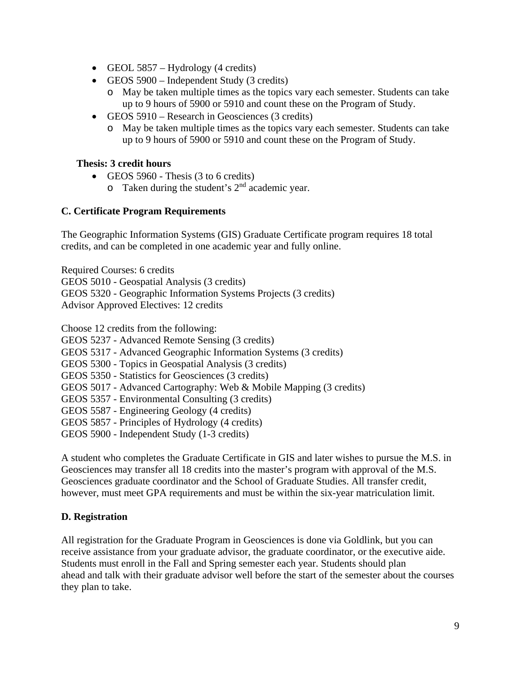- GEOL 5857 Hydrology (4 credits)
- GEOS 5900 Independent Study (3 credits)
	- o May be taken multiple times as the topics vary each semester. Students can take up to 9 hours of 5900 or 5910 and count these on the Program of Study.
- GEOS 5910 Research in Geosciences (3 credits)
	- o May be taken multiple times as the topics vary each semester. Students can take up to 9 hours of 5900 or 5910 and count these on the Program of Study.

#### **Thesis: 3 credit hours**

- GEOS 5960 Thesis (3 to 6 credits)
	- $\circ$  Taken during the student's  $2<sup>nd</sup>$  academic year.

#### **C. Certificate Program Requirements**

The Geographic Information Systems (GIS) Graduate Certificate program requires 18 total credits, and can be completed in one academic year and fully online.

Required Courses: 6 credits GEOS 5010 - Geospatial Analysis (3 credits) GEOS 5320 - Geographic Information Systems Projects (3 credits) Advisor Approved Electives: 12 credits

Choose 12 credits from the following:

- GEOS 5237 Advanced Remote Sensing (3 credits)
- GEOS 5317 Advanced Geographic Information Systems (3 credits)
- GEOS 5300 Topics in Geospatial Analysis (3 credits)
- GEOS 5350 Statistics for Geosciences (3 credits)
- GEOS 5017 Advanced Cartography: Web & Mobile Mapping (3 credits)
- GEOS 5357 Environmental Consulting (3 credits)
- GEOS 5587 Engineering Geology (4 credits)
- GEOS 5857 Principles of Hydrology (4 credits)
- GEOS 5900 Independent Study (1-3 credits)

A student who completes the Graduate Certificate in GIS and later wishes to pursue the M.S. in Geosciences may transfer all 18 credits into the master's program with approval of the M.S. Geosciences graduate coordinator and the School of Graduate Studies. All transfer credit, however, must meet GPA requirements and must be within the six-year matriculation limit.

#### **D. Registration**

All registration for the Graduate Program in Geosciences is done via Goldlink, but you can receive assistance from your graduate advisor, the graduate coordinator, or the executive aide. Students must enroll in the Fall and Spring semester each year. Students should plan ahead and talk with their graduate advisor well before the start of the semester about the courses they plan to take.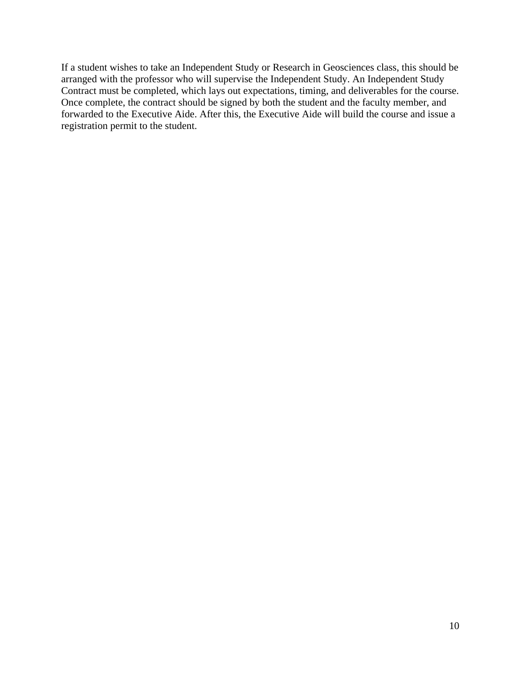If a student wishes to take an Independent Study or Research in Geosciences class, this should be arranged with the professor who will supervise the Independent Study. An Independent Study Contract must be completed, which lays out expectations, timing, and deliverables for the course. Once complete, the contract should be signed by both the student and the faculty member, and forwarded to the Executive Aide. After this, the Executive Aide will build the course and issue a registration permit to the student.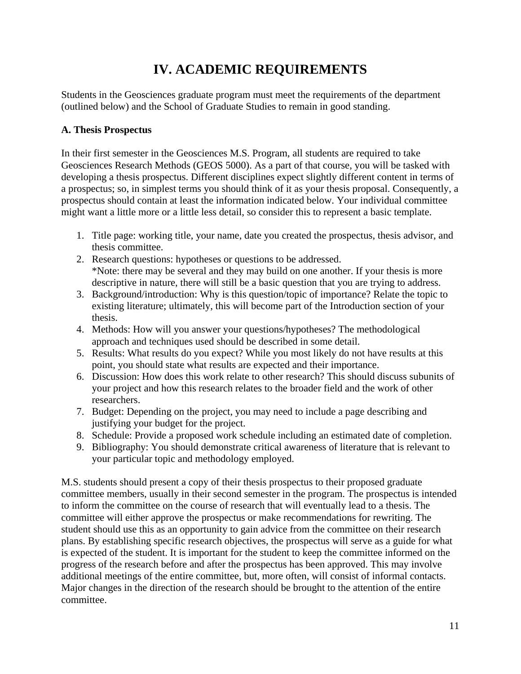## **IV. ACADEMIC REQUIREMENTS**

Students in the Geosciences graduate program must meet the requirements of the department (outlined below) and the School of Graduate Studies to remain in good standing.

#### **A. Thesis Prospectus**

In their first semester in the Geosciences M.S. Program, all students are required to take Geosciences Research Methods (GEOS 5000). As a part of that course, you will be tasked with developing a thesis prospectus. Different disciplines expect slightly different content in terms of a prospectus; so, in simplest terms you should think of it as your thesis proposal. Consequently, a prospectus should contain at least the information indicated below. Your individual committee might want a little more or a little less detail, so consider this to represent a basic template.

- 1. Title page: working title, your name, date you created the prospectus, thesis advisor, and thesis committee.
- 2. Research questions: hypotheses or questions to be addressed. \*Note: there may be several and they may build on one another. If your thesis is more descriptive in nature, there will still be a basic question that you are trying to address.
- 3. Background/introduction: Why is this question/topic of importance? Relate the topic to existing literature; ultimately, this will become part of the Introduction section of your thesis.
- 4. Methods: How will you answer your questions/hypotheses? The methodological approach and techniques used should be described in some detail.
- 5. Results: What results do you expect? While you most likely do not have results at this point, you should state what results are expected and their importance.
- 6. Discussion: How does this work relate to other research? This should discuss subunits of your project and how this research relates to the broader field and the work of other researchers.
- 7. Budget: Depending on the project, you may need to include a page describing and justifying your budget for the project.
- 8. Schedule: Provide a proposed work schedule including an estimated date of completion.
- 9. Bibliography: You should demonstrate critical awareness of literature that is relevant to your particular topic and methodology employed.

M.S. students should present a copy of their thesis prospectus to their proposed graduate committee members, usually in their second semester in the program. The prospectus is intended to inform the committee on the course of research that will eventually lead to a thesis. The committee will either approve the prospectus or make recommendations for rewriting. The student should use this as an opportunity to gain advice from the committee on their research plans. By establishing specific research objectives, the prospectus will serve as a guide for what is expected of the student. It is important for the student to keep the committee informed on the progress of the research before and after the prospectus has been approved. This may involve additional meetings of the entire committee, but, more often, will consist of informal contacts. Major changes in the direction of the research should be brought to the attention of the entire committee.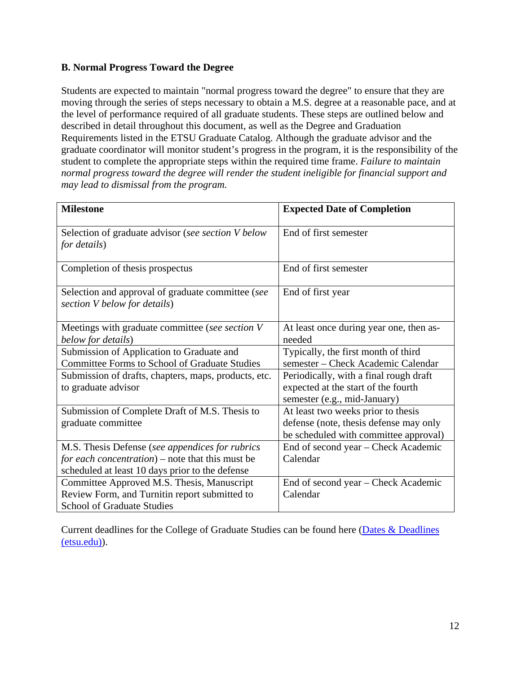#### **B. Normal Progress Toward the Degree**

Students are expected to maintain "normal progress toward the degree" to ensure that they are moving through the series of steps necessary to obtain a M.S. degree at a reasonable pace, and at the level of performance required of all graduate students. These steps are outlined below and described in detail throughout this document, as well as the Degree and Graduation Requirements listed in the ETSU Graduate Catalog. Although the graduate advisor and the graduate coordinator will monitor student's progress in the program, it is the responsibility of the student to complete the appropriate steps within the required time frame. *Failure to maintain normal progress toward the degree will render the student ineligible for financial support and may lead to dismissal from the program.*

| <b>Milestone</b>                                                                  | <b>Expected Date of Completion</b>      |
|-----------------------------------------------------------------------------------|-----------------------------------------|
| Selection of graduate advisor (see section V below<br>for details)                | End of first semester                   |
| Completion of thesis prospectus                                                   | End of first semester                   |
| Selection and approval of graduate committee (see<br>section V below for details) | End of first year                       |
| Meetings with graduate committee (see section V                                   | At least once during year one, then as- |
| below for details)                                                                | needed                                  |
| Submission of Application to Graduate and                                         | Typically, the first month of third     |
| <b>Committee Forms to School of Graduate Studies</b>                              | semester - Check Academic Calendar      |
| Submission of drafts, chapters, maps, products, etc.                              | Periodically, with a final rough draft  |
| to graduate advisor                                                               | expected at the start of the fourth     |
|                                                                                   | semester (e.g., mid-January)            |
| Submission of Complete Draft of M.S. Thesis to                                    | At least two weeks prior to thesis      |
| graduate committee                                                                | defense (note, thesis defense may only  |
|                                                                                   | be scheduled with committee approval)   |
| M.S. Thesis Defense (see appendices for rubrics                                   | End of second year - Check Academic     |
| for each concentration) – note that this must be                                  | Calendar                                |
| scheduled at least 10 days prior to the defense                                   |                                         |
| Committee Approved M.S. Thesis, Manuscript                                        | End of second year – Check Academic     |
| Review Form, and Turnitin report submitted to                                     | Calendar                                |
| <b>School of Graduate Studies</b>                                                 |                                         |

Current deadlines for the College of Graduate Studies can be found here (Dates & Deadlines [\(etsu.edu\)\)](https://www.etsu.edu/gradschool/importantdates.php).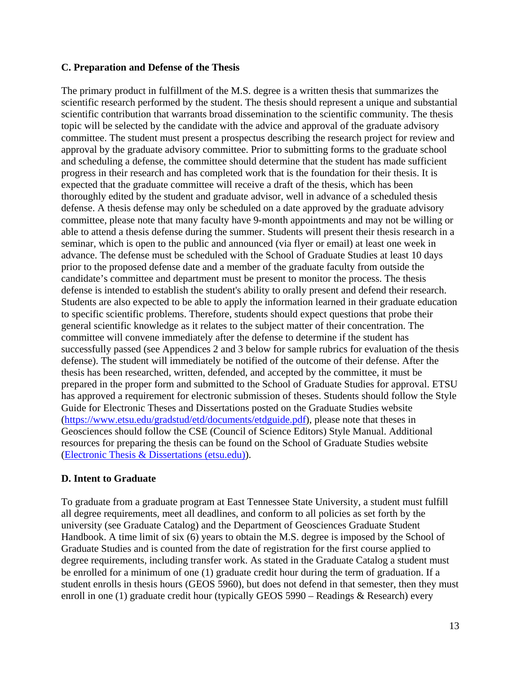#### **C. Preparation and Defense of the Thesis**

The primary product in fulfillment of the M.S. degree is a written thesis that summarizes the scientific research performed by the student. The thesis should represent a unique and substantial scientific contribution that warrants broad dissemination to the scientific community. The thesis topic will be selected by the candidate with the advice and approval of the graduate advisory committee. The student must present a prospectus describing the research project for review and approval by the graduate advisory committee. Prior to submitting forms to the graduate school and scheduling a defense, the committee should determine that the student has made sufficient progress in their research and has completed work that is the foundation for their thesis. It is expected that the graduate committee will receive a draft of the thesis, which has been thoroughly edited by the student and graduate advisor, well in advance of a scheduled thesis defense. A thesis defense may only be scheduled on a date approved by the graduate advisory committee, please note that many faculty have 9-month appointments and may not be willing or able to attend a thesis defense during the summer. Students will present their thesis research in a seminar, which is open to the public and announced (via flyer or email) at least one week in advance. The defense must be scheduled with the School of Graduate Studies at least 10 days prior to the proposed defense date and a member of the graduate faculty from outside the candidate's committee and department must be present to monitor the process. The thesis defense is intended to establish the student's ability to orally present and defend their research. Students are also expected to be able to apply the information learned in their graduate education to specific scientific problems. Therefore, students should expect questions that probe their general scientific knowledge as it relates to the subject matter of their concentration. The committee will convene immediately after the defense to determine if the student has successfully passed (see Appendices 2 and 3 below for sample rubrics for evaluation of the thesis defense). The student will immediately be notified of the outcome of their defense. After the thesis has been researched, written, defended, and accepted by the committee, it must be prepared in the proper form and submitted to the School of Graduate Studies for approval. ETSU has approved a requirement for electronic submission of theses. Students should follow the Style Guide for Electronic Theses and Dissertations posted on the Graduate Studies website [\(https://www.etsu.edu/gradstud/etd/documents/etdguide.pdf\)](https://www.etsu.edu/gradstud/etd/documents/etdguide.pdf), please note that theses in Geosciences should follow the CSE (Council of Science Editors) Style Manual. Additional resources for preparing the thesis can be found on the School of Graduate Studies website [\(Electronic Thesis & Dissertations \(etsu.edu\)\)](https://www.etsu.edu/gradschool/etd/).

#### **D. Intent to Graduate**

To graduate from a graduate program at East Tennessee State University, a student must fulfill all degree requirements, meet all deadlines, and conform to all policies as set forth by the university (see Graduate Catalog) and the Department of Geosciences Graduate Student Handbook. A time limit of six (6) years to obtain the M.S. degree is imposed by the School of Graduate Studies and is counted from the date of registration for the first course applied to degree requirements, including transfer work. As stated in the Graduate Catalog a student must be enrolled for a minimum of one (1) graduate credit hour during the term of graduation. If a student enrolls in thesis hours (GEOS 5960), but does not defend in that semester, then they must enroll in one (1) graduate credit hour (typically GEOS 5990 – Readings & Research) every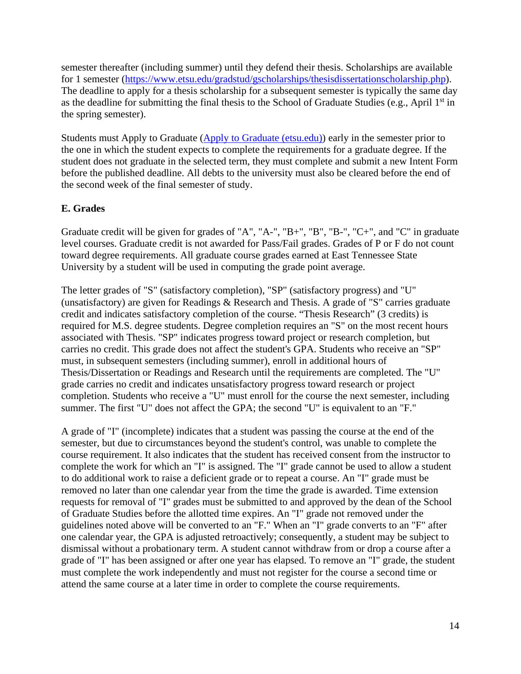semester thereafter (including summer) until they defend their thesis. Scholarships are available for 1 semester [\(https://www.etsu.edu/gradstud/gscholarships/thesisdissertationscholarship.php\)](https://www.etsu.edu/gradstud/gscholarships/thesisdissertationscholarship.php). The deadline to apply for a thesis scholarship for a subsequent semester is typically the same day as the deadline for submitting the final thesis to the School of Graduate Studies (e.g., April  $1<sup>st</sup>$  in the spring semester).

Students must Apply to Graduate [\(Apply to Graduate \(etsu.edu\)\)](https://www.etsu.edu/reg/application.php) early in the semester prior to the one in which the student expects to complete the requirements for a graduate degree. If the student does not graduate in the selected term, they must complete and submit a new Intent Form before the published deadline. All debts to the university must also be cleared before the end of the second week of the final semester of study.

#### **E. Grades**

Graduate credit will be given for grades of "A", "A-", "B+", "B", "B-", "C+", and "C" in graduate level courses. Graduate credit is not awarded for Pass/Fail grades. Grades of P or F do not count toward degree requirements. All graduate course grades earned at East Tennessee State University by a student will be used in computing the grade point average.

The letter grades of "S" (satisfactory completion), "SP" (satisfactory progress) and "U" (unsatisfactory) are given for Readings & Research and Thesis. A grade of "S" carries graduate credit and indicates satisfactory completion of the course. "Thesis Research" (3 credits) is required for M.S. degree students. Degree completion requires an "S" on the most recent hours associated with Thesis. "SP" indicates progress toward project or research completion, but carries no credit. This grade does not affect the student's GPA. Students who receive an "SP" must, in subsequent semesters (including summer), enroll in additional hours of Thesis/Dissertation or Readings and Research until the requirements are completed. The "U" grade carries no credit and indicates unsatisfactory progress toward research or project completion. Students who receive a "U" must enroll for the course the next semester, including summer. The first "U" does not affect the GPA; the second "U" is equivalent to an "F."

A grade of "I" (incomplete) indicates that a student was passing the course at the end of the semester, but due to circumstances beyond the student's control, was unable to complete the course requirement. It also indicates that the student has received consent from the instructor to complete the work for which an "I" is assigned. The "I" grade cannot be used to allow a student to do additional work to raise a deficient grade or to repeat a course. An "I" grade must be removed no later than one calendar year from the time the grade is awarded. Time extension requests for removal of "I" grades must be submitted to and approved by the dean of the School of Graduate Studies before the allotted time expires. An "I" grade not removed under the guidelines noted above will be converted to an "F." When an "I" grade converts to an "F" after one calendar year, the GPA is adjusted retroactively; consequently, a student may be subject to dismissal without a probationary term. A student cannot withdraw from or drop a course after a grade of "I" has been assigned or after one year has elapsed. To remove an "I" grade, the student must complete the work independently and must not register for the course a second time or attend the same course at a later time in order to complete the course requirements.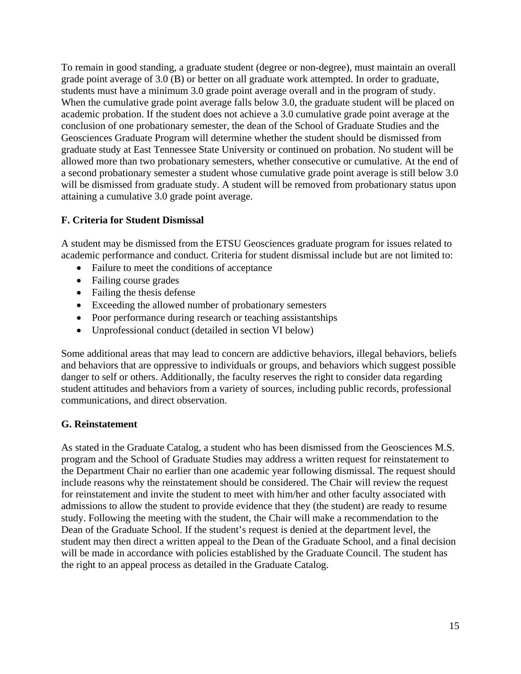To remain in good standing, a graduate student (degree or non-degree), must maintain an overall grade point average of 3.0 (B) or better on all graduate work attempted. In order to graduate, students must have a minimum 3.0 grade point average overall and in the program of study. When the cumulative grade point average falls below 3.0, the graduate student will be placed on academic probation. If the student does not achieve a 3.0 cumulative grade point average at the conclusion of one probationary semester, the dean of the School of Graduate Studies and the Geosciences Graduate Program will determine whether the student should be dismissed from graduate study at East Tennessee State University or continued on probation. No student will be allowed more than two probationary semesters, whether consecutive or cumulative. At the end of a second probationary semester a student whose cumulative grade point average is still below 3.0 will be dismissed from graduate study. A student will be removed from probationary status upon attaining a cumulative 3.0 grade point average.

#### **F. Criteria for Student Dismissal**

A student may be dismissed from the ETSU Geosciences graduate program for issues related to academic performance and conduct. Criteria for student dismissal include but are not limited to:

- Failure to meet the conditions of acceptance
- Failing course grades
- Failing the thesis defense
- Exceeding the allowed number of probationary semesters
- Poor performance during research or teaching assistantships
- Unprofessional conduct (detailed in section VI below)

Some additional areas that may lead to concern are addictive behaviors, illegal behaviors, beliefs and behaviors that are oppressive to individuals or groups, and behaviors which suggest possible danger to self or others. Additionally, the faculty reserves the right to consider data regarding student attitudes and behaviors from a variety of sources, including public records, professional communications, and direct observation.

#### **G. Reinstatement**

As stated in the Graduate Catalog, a student who has been dismissed from the Geosciences M.S. program and the School of Graduate Studies may address a written request for reinstatement to the Department Chair no earlier than one academic year following dismissal. The request should include reasons why the reinstatement should be considered. The Chair will review the request for reinstatement and invite the student to meet with him/her and other faculty associated with admissions to allow the student to provide evidence that they (the student) are ready to resume study. Following the meeting with the student, the Chair will make a recommendation to the Dean of the Graduate School. If the student's request is denied at the department level, the student may then direct a written appeal to the Dean of the Graduate School, and a final decision will be made in accordance with policies established by the Graduate Council. The student has the right to an appeal process as detailed in the Graduate Catalog.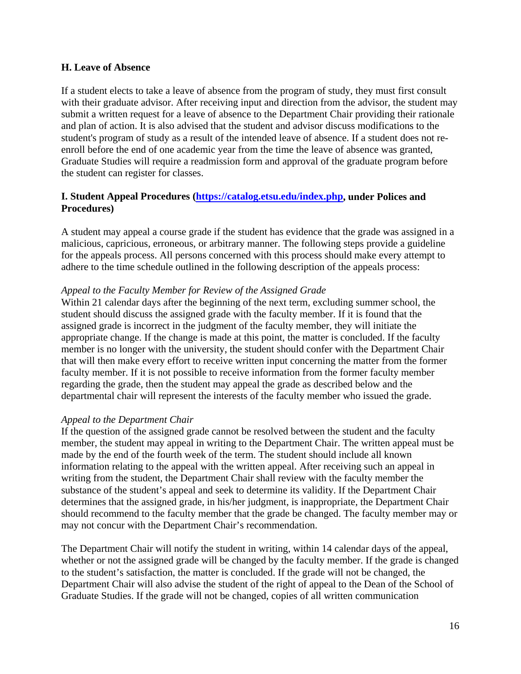#### **H. Leave of Absence**

If a student elects to take a leave of absence from the program of study, they must first consult with their graduate advisor. After receiving input and direction from the advisor, the student may submit a written request for a leave of absence to the Department Chair providing their rationale and plan of action. It is also advised that the student and advisor discuss modifications to the student's program of study as a result of the intended leave of absence. If a student does not reenroll before the end of one academic year from the time the leave of absence was granted, Graduate Studies will require a readmission form and approval of the graduate program before the student can register for classes.

#### **I. Student Appeal Procedures [\(https://catalog.etsu.edu/index.php,](https://catalog.etsu.edu/index.php) under Polices and Procedures)**

A student may appeal a course grade if the student has evidence that the grade was assigned in a malicious, capricious, erroneous, or arbitrary manner. The following steps provide a guideline for the appeals process. All persons concerned with this process should make every attempt to adhere to the time schedule outlined in the following description of the appeals process:

#### *Appeal to the Faculty Member for Review of the Assigned Grade*

Within 21 calendar days after the beginning of the next term, excluding summer school, the student should discuss the assigned grade with the faculty member. If it is found that the assigned grade is incorrect in the judgment of the faculty member, they will initiate the appropriate change. If the change is made at this point, the matter is concluded. If the faculty member is no longer with the university, the student should confer with the Department Chair that will then make every effort to receive written input concerning the matter from the former faculty member. If it is not possible to receive information from the former faculty member regarding the grade, then the student may appeal the grade as described below and the departmental chair will represent the interests of the faculty member who issued the grade.

#### *Appeal to the Department Chair*

If the question of the assigned grade cannot be resolved between the student and the faculty member, the student may appeal in writing to the Department Chair. The written appeal must be made by the end of the fourth week of the term. The student should include all known information relating to the appeal with the written appeal. After receiving such an appeal in writing from the student, the Department Chair shall review with the faculty member the substance of the student's appeal and seek to determine its validity. If the Department Chair determines that the assigned grade, in his/her judgment, is inappropriate, the Department Chair should recommend to the faculty member that the grade be changed. The faculty member may or may not concur with the Department Chair's recommendation.

The Department Chair will notify the student in writing, within 14 calendar days of the appeal, whether or not the assigned grade will be changed by the faculty member. If the grade is changed to the student's satisfaction, the matter is concluded. If the grade will not be changed, the Department Chair will also advise the student of the right of appeal to the Dean of the School of Graduate Studies. If the grade will not be changed, copies of all written communication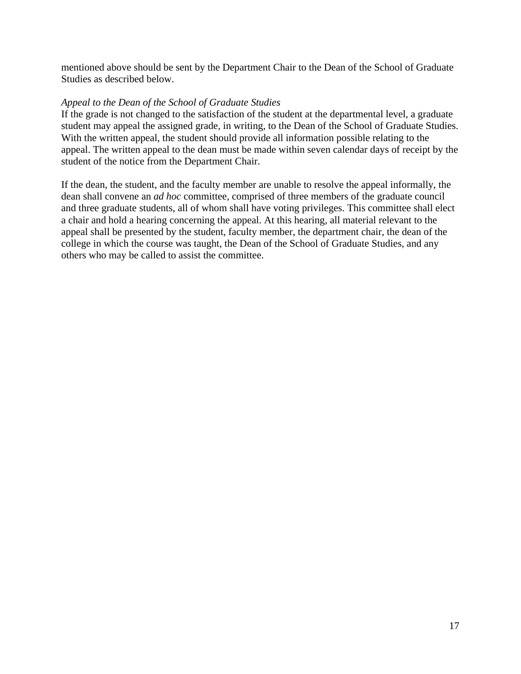mentioned above should be sent by the Department Chair to the Dean of the School of Graduate Studies as described below.

#### *Appeal to the Dean of the School of Graduate Studies*

If the grade is not changed to the satisfaction of the student at the departmental level, a graduate student may appeal the assigned grade, in writing, to the Dean of the School of Graduate Studies. With the written appeal, the student should provide all information possible relating to the appeal. The written appeal to the dean must be made within seven calendar days of receipt by the student of the notice from the Department Chair.

If the dean, the student, and the faculty member are unable to resolve the appeal informally, the dean shall convene an *ad hoc* committee, comprised of three members of the graduate council and three graduate students, all of whom shall have voting privileges. This committee shall elect a chair and hold a hearing concerning the appeal. At this hearing, all material relevant to the appeal shall be presented by the student, faculty member, the department chair, the dean of the college in which the course was taught, the Dean of the School of Graduate Studies, and any others who may be called to assist the committee.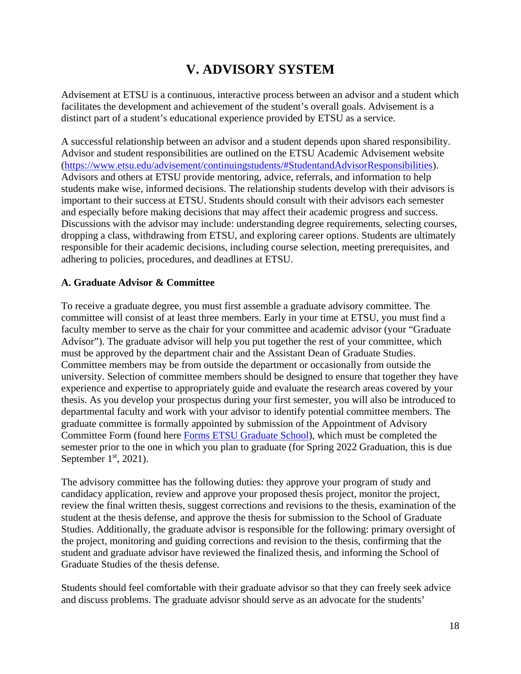## **V. ADVISORY SYSTEM**

Advisement at ETSU is a continuous, interactive process between an advisor and a student which facilitates the development and achievement of the student's overall goals. Advisement is a distinct part of a student's educational experience provided by ETSU as a service.

A successful relationship between an advisor and a student depends upon shared responsibility. Advisor and student responsibilities are outlined on the ETSU Academic Advisement website [\(https://www.etsu.edu/advisement/continuingstudents/#StudentandAdvisorResponsibilities\)](https://www.etsu.edu/advisement/continuingstudents/#StudentandAdvisorResponsibilities). Advisors and others at ETSU provide mentoring, advice, referrals, and information to help students make wise, informed decisions. The relationship students develop with their advisors is important to their success at ETSU. Students should consult with their advisors each semester and especially before making decisions that may affect their academic progress and success. Discussions with the advisor may include: understanding degree requirements, selecting courses, dropping a class, withdrawing from ETSU, and exploring career options. Students are ultimately responsible for their academic decisions, including course selection, meeting prerequisites, and adhering to policies, procedures, and deadlines at ETSU.

#### **A. Graduate Advisor & Committee**

To receive a graduate degree, you must first assemble a graduate advisory committee. The committee will consist of at least three members. Early in your time at ETSU, you must find a faculty member to serve as the chair for your committee and academic advisor (your "Graduate Advisor"). The graduate advisor will help you put together the rest of your committee, which must be approved by the department chair and the Assistant Dean of Graduate Studies. Committee members may be from outside the department or occasionally from outside the university. Selection of committee members should be designed to ensure that together they have experience and expertise to appropriately guide and evaluate the research areas covered by your thesis. As you develop your prospectus during your first semester, you will also be introduced to departmental faculty and work with your advisor to identify potential committee members. The graduate committee is formally appointed by submission of the Appointment of Advisory Committee Form (found here [Forms ETSU Graduate School\)](https://www.etsu.edu/gradschool/forms.php), which must be completed the semester prior to the one in which you plan to graduate (for Spring 2022 Graduation, this is due September  $1<sup>st</sup>$ , 2021).

The advisory committee has the following duties: they approve your program of study and candidacy application, review and approve your proposed thesis project, monitor the project, review the final written thesis, suggest corrections and revisions to the thesis, examination of the student at the thesis defense, and approve the thesis for submission to the School of Graduate Studies. Additionally, the graduate advisor is responsible for the following: primary oversight of the project, monitoring and guiding corrections and revision to the thesis, confirming that the student and graduate advisor have reviewed the finalized thesis, and informing the School of Graduate Studies of the thesis defense.

Students should feel comfortable with their graduate advisor so that they can freely seek advice and discuss problems. The graduate advisor should serve as an advocate for the students'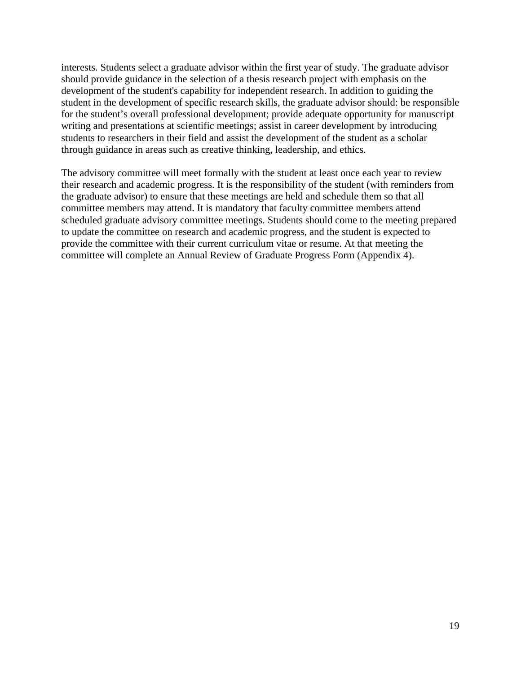interests. Students select a graduate advisor within the first year of study. The graduate advisor should provide guidance in the selection of a thesis research project with emphasis on the development of the student's capability for independent research. In addition to guiding the student in the development of specific research skills, the graduate advisor should: be responsible for the student's overall professional development; provide adequate opportunity for manuscript writing and presentations at scientific meetings; assist in career development by introducing students to researchers in their field and assist the development of the student as a scholar through guidance in areas such as creative thinking, leadership, and ethics.

The advisory committee will meet formally with the student at least once each year to review their research and academic progress. It is the responsibility of the student (with reminders from the graduate advisor) to ensure that these meetings are held and schedule them so that all committee members may attend. It is mandatory that faculty committee members attend scheduled graduate advisory committee meetings. Students should come to the meeting prepared to update the committee on research and academic progress, and the student is expected to provide the committee with their current curriculum vitae or resume. At that meeting the committee will complete an Annual Review of Graduate Progress Form (Appendix 4).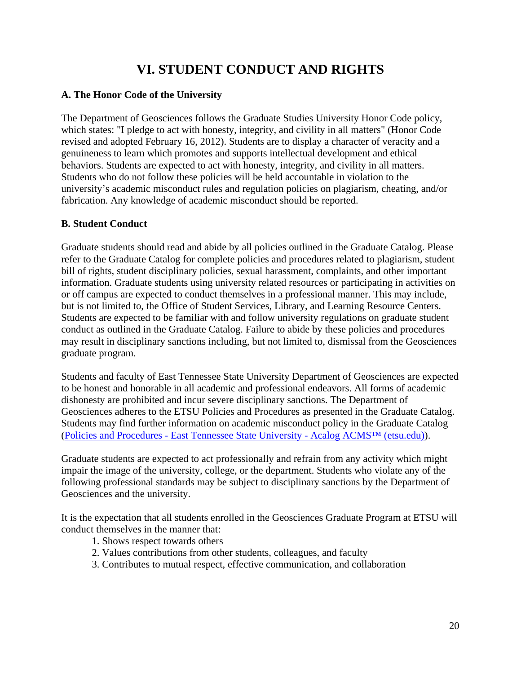## **VI. STUDENT CONDUCT AND RIGHTS**

#### **A. The Honor Code of the University**

The Department of Geosciences follows the Graduate Studies University Honor Code policy, which states: "I pledge to act with honesty, integrity, and civility in all matters" (Honor Code revised and adopted February 16, 2012). Students are to display a character of veracity and a genuineness to learn which promotes and supports intellectual development and ethical behaviors. Students are expected to act with honesty, integrity, and civility in all matters. Students who do not follow these policies will be held accountable in violation to the university's academic misconduct rules and regulation policies on plagiarism, cheating, and/or fabrication. Any knowledge of academic misconduct should be reported.

#### **B. Student Conduct**

Graduate students should read and abide by all policies outlined in the Graduate Catalog. Please refer to the Graduate Catalog for complete policies and procedures related to plagiarism, student bill of rights, student disciplinary policies, sexual harassment, complaints, and other important information. Graduate students using university related resources or participating in activities on or off campus are expected to conduct themselves in a professional manner. This may include, but is not limited to, the Office of Student Services, Library, and Learning Resource Centers. Students are expected to be familiar with and follow university regulations on graduate student conduct as outlined in the Graduate Catalog. Failure to abide by these policies and procedures may result in disciplinary sanctions including, but not limited to, dismissal from the Geosciences graduate program.

Students and faculty of East Tennessee State University Department of Geosciences are expected to be honest and honorable in all academic and professional endeavors. All forms of academic dishonesty are prohibited and incur severe disciplinary sanctions. The Department of Geosciences adheres to the ETSU Policies and Procedures as presented in the Graduate Catalog. Students may find further information on academic misconduct policy in the Graduate Catalog (Policies and Procedures - [East Tennessee State University -](https://catalog.etsu.edu/content.php?catoid=41&navoid=1735#academic-and-classroom-misconduct) Acalog ACMS™ (etsu.edu)).

Graduate students are expected to act professionally and refrain from any activity which might impair the image of the university, college, or the department. Students who violate any of the following professional standards may be subject to disciplinary sanctions by the Department of Geosciences and the university.

It is the expectation that all students enrolled in the Geosciences Graduate Program at ETSU will conduct themselves in the manner that:

- 1. Shows respect towards others
- 2. Values contributions from other students, colleagues, and faculty
- 3. Contributes to mutual respect, effective communication, and collaboration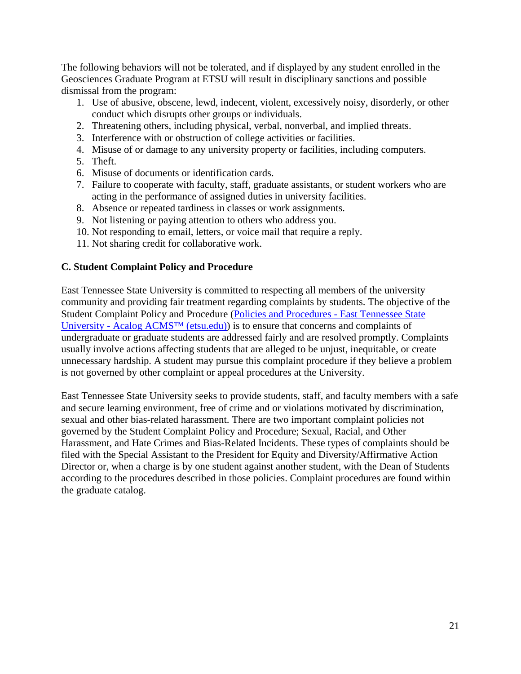The following behaviors will not be tolerated, and if displayed by any student enrolled in the Geosciences Graduate Program at ETSU will result in disciplinary sanctions and possible dismissal from the program:

- 1. Use of abusive, obscene, lewd, indecent, violent, excessively noisy, disorderly, or other conduct which disrupts other groups or individuals.
- 2. Threatening others, including physical, verbal, nonverbal, and implied threats.
- 3. Interference with or obstruction of college activities or facilities.
- 4. Misuse of or damage to any university property or facilities, including computers.
- 5. Theft.
- 6. Misuse of documents or identification cards.
- 7. Failure to cooperate with faculty, staff, graduate assistants, or student workers who are acting in the performance of assigned duties in university facilities.
- 8. Absence or repeated tardiness in classes or work assignments.
- 9. Not listening or paying attention to others who address you.
- 10. Not responding to email, letters, or voice mail that require a reply.
- 11. Not sharing credit for collaborative work.

#### **C. Student Complaint Policy and Procedure**

East Tennessee State University is committed to respecting all members of the university community and providing fair treatment regarding complaints by students. The objective of the Student Complaint Policy and Procedure [\(Policies and Procedures -](https://catalog.etsu.edu/content.php?catoid=41&navoid=1735#-complaint-policy-and-procedures-for-students) East Tennessee State University - [Acalog ACMS™ \(etsu.edu\)\)](https://catalog.etsu.edu/content.php?catoid=41&navoid=1735#-complaint-policy-and-procedures-for-students) is to ensure that concerns and complaints of undergraduate or graduate students are addressed fairly and are resolved promptly. Complaints usually involve actions affecting students that are alleged to be unjust, inequitable, or create unnecessary hardship. A student may pursue this complaint procedure if they believe a problem is not governed by other complaint or appeal procedures at the University.

East Tennessee State University seeks to provide students, staff, and faculty members with a safe and secure learning environment, free of crime and or violations motivated by discrimination, sexual and other bias-related harassment. There are two important complaint policies not governed by the Student Complaint Policy and Procedure; Sexual, Racial, and Other Harassment, and Hate Crimes and Bias-Related Incidents. These types of complaints should be filed with the Special Assistant to the President for Equity and Diversity/Affirmative Action Director or, when a charge is by one student against another student, with the Dean of Students according to the procedures described in those policies. Complaint procedures are found within the graduate catalog.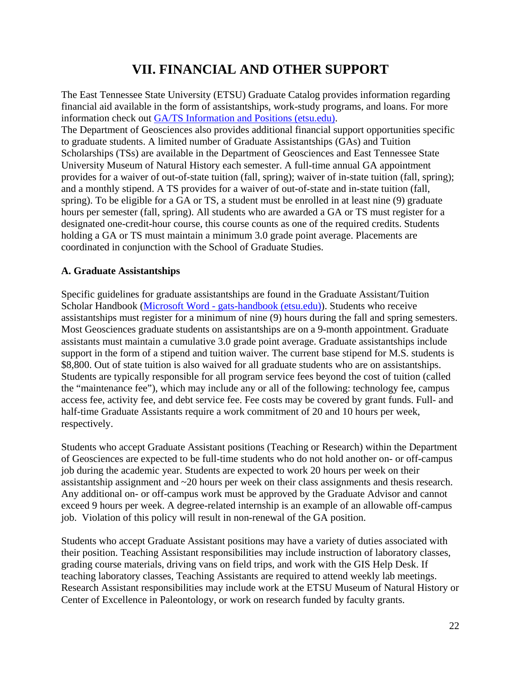## **VII. FINANCIAL AND OTHER SUPPORT**

The East Tennessee State University (ETSU) Graduate Catalog provides information regarding financial aid available in the form of assistantships, work-study programs, and loans. For more information check out [GA/TS Information and Positions \(etsu.edu\).](https://www.etsu.edu/gradschool/funding/gats.php) The Department of Geosciences also provides additional financial support opportunities specific to graduate students. A limited number of Graduate Assistantships (GAs) and Tuition Scholarships (TSs) are available in the Department of Geosciences and East Tennessee State University Museum of Natural History each semester. A full-time annual GA appointment provides for a waiver of out-of-state tuition (fall, spring); waiver of in-state tuition (fall, spring); and a monthly stipend. A TS provides for a waiver of out-of-state and in-state tuition (fall, spring). To be eligible for a GA or TS, a student must be enrolled in at least nine (9) graduate hours per semester (fall, spring). All students who are awarded a GA or TS must register for a designated one-credit-hour course, this course counts as one of the required credits. Students holding a GA or TS must maintain a minimum 3.0 grade point average. Placements are coordinated in conjunction with the School of Graduate Studies.

#### **A. Graduate Assistantships**

Specific guidelines for graduate assistantships are found in the Graduate Assistant/Tuition Scholar Handbook (Microsoft Word - [gats-handbook \(etsu.edu\)\)](https://www.etsu.edu/gradschool/documents/gats-handbook.pdf). Students who receive assistantships must register for a minimum of nine (9) hours during the fall and spring semesters. Most Geosciences graduate students on assistantships are on a 9-month appointment. Graduate assistants must maintain a cumulative 3.0 grade point average. Graduate assistantships include support in the form of a stipend and tuition waiver. The current base stipend for M.S. students is \$8,800. Out of state tuition is also waived for all graduate students who are on assistantships. Students are typically responsible for all program service fees beyond the cost of tuition (called the "maintenance fee"), which may include any or all of the following: technology fee, campus access fee, activity fee, and debt service fee. Fee costs may be covered by grant funds. Full- and half-time Graduate Assistants require a work commitment of 20 and 10 hours per week, respectively.

Students who accept Graduate Assistant positions (Teaching or Research) within the Department of Geosciences are expected to be full-time students who do not hold another on- or off-campus job during the academic year. Students are expected to work 20 hours per week on their assistantship assignment and ~20 hours per week on their class assignments and thesis research. Any additional on- or off-campus work must be approved by the Graduate Advisor and cannot exceed 9 hours per week. A degree-related internship is an example of an allowable off-campus job. Violation of this policy will result in non-renewal of the GA position.

Students who accept Graduate Assistant positions may have a variety of duties associated with their position. Teaching Assistant responsibilities may include instruction of laboratory classes, grading course materials, driving vans on field trips, and work with the GIS Help Desk. If teaching laboratory classes, Teaching Assistants are required to attend weekly lab meetings. Research Assistant responsibilities may include work at the ETSU Museum of Natural History or Center of Excellence in Paleontology, or work on research funded by faculty grants.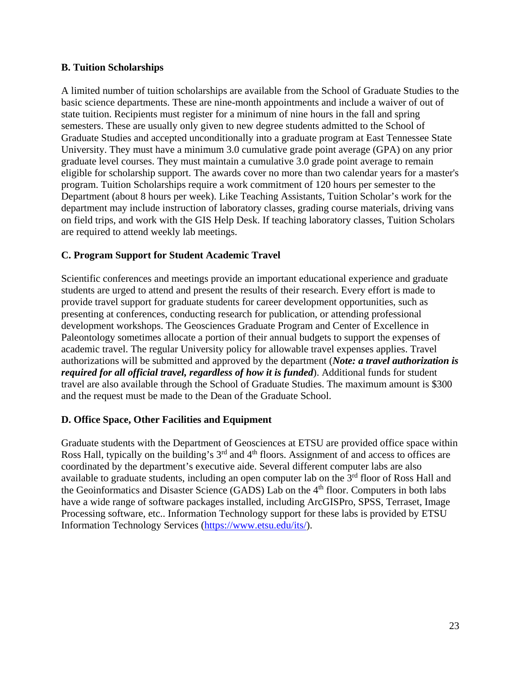#### **B. Tuition Scholarships**

A limited number of tuition scholarships are available from the School of Graduate Studies to the basic science departments. These are nine-month appointments and include a waiver of out of state tuition. Recipients must register for a minimum of nine hours in the fall and spring semesters. These are usually only given to new degree students admitted to the School of Graduate Studies and accepted unconditionally into a graduate program at East Tennessee State University. They must have a minimum 3.0 cumulative grade point average (GPA) on any prior graduate level courses. They must maintain a cumulative 3.0 grade point average to remain eligible for scholarship support. The awards cover no more than two calendar years for a master's program. Tuition Scholarships require a work commitment of 120 hours per semester to the Department (about 8 hours per week). Like Teaching Assistants, Tuition Scholar's work for the department may include instruction of laboratory classes, grading course materials, driving vans on field trips, and work with the GIS Help Desk. If teaching laboratory classes, Tuition Scholars are required to attend weekly lab meetings.

#### **C. Program Support for Student Academic Travel**

Scientific conferences and meetings provide an important educational experience and graduate students are urged to attend and present the results of their research. Every effort is made to provide travel support for graduate students for career development opportunities, such as presenting at conferences, conducting research for publication, or attending professional development workshops. The Geosciences Graduate Program and Center of Excellence in Paleontology sometimes allocate a portion of their annual budgets to support the expenses of academic travel. The regular University policy for allowable travel expenses applies. Travel authorizations will be submitted and approved by the department (*Note: a travel authorization is required for all official travel, regardless of how it is funded*). Additional funds for student travel are also available through the School of Graduate Studies. The maximum amount is \$300 and the request must be made to the Dean of the Graduate School.

#### **D. Office Space, Other Facilities and Equipment**

Graduate students with the Department of Geosciences at ETSU are provided office space within Ross Hall, typically on the building's 3<sup>rd</sup> and 4<sup>th</sup> floors. Assignment of and access to offices are coordinated by the department's executive aide. Several different computer labs are also available to graduate students, including an open computer lab on the  $3<sup>rd</sup>$  floor of Ross Hall and the Geoinformatics and Disaster Science (GADS) Lab on the 4<sup>th</sup> floor. Computers in both labs have a wide range of software packages installed, including ArcGISPro, SPSS, Terraset, Image Processing software, etc.. Information Technology support for these labs is provided by ETSU Information Technology Services [\(https://www.etsu.edu/its/\)](https://www.etsu.edu/its/).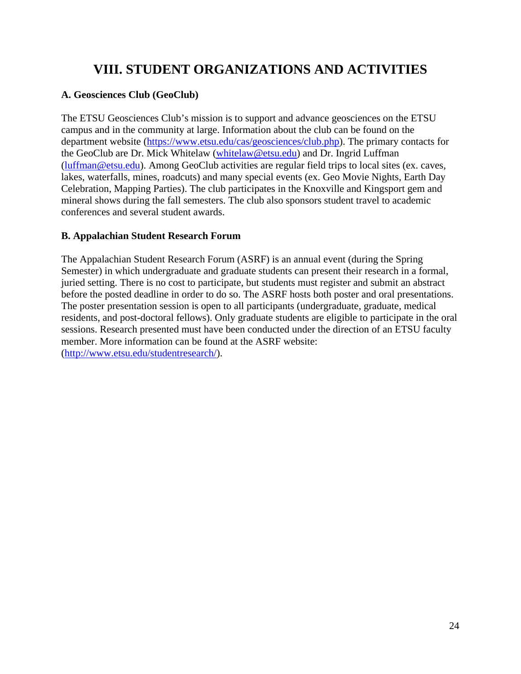## **VIII. STUDENT ORGANIZATIONS AND ACTIVITIES**

#### **A. Geosciences Club (GeoClub)**

The ETSU Geosciences Club's mission is to support and advance geosciences on the ETSU campus and in the community at large. Information about the club can be found on the department website [\(https://www.etsu.edu/cas/geosciences/club.php\)](https://www.etsu.edu/cas/geosciences/club.php). The primary contacts for the GeoClub are Dr. Mick Whitelaw [\(whitelaw@etsu.edu\)](mailto:whitelaw@etsu.edu) and Dr. Ingrid Luffman [\(luffman@etsu.edu\)](mailto:luffman@etsu.edu). Among GeoClub activities are regular field trips to local sites (ex. caves, lakes, waterfalls, mines, roadcuts) and many special events (ex. Geo Movie Nights, Earth Day Celebration, Mapping Parties). The club participates in the Knoxville and Kingsport gem and mineral shows during the fall semesters. The club also sponsors student travel to academic conferences and several student awards.

#### **B. Appalachian Student Research Forum**

The Appalachian Student Research Forum (ASRF) is an annual event (during the Spring Semester) in which undergraduate and graduate students can present their research in a formal, juried setting. There is no cost to participate, but students must register and submit an abstract before the posted deadline in order to do so. The ASRF hosts both poster and oral presentations. The poster presentation session is open to all participants (undergraduate, graduate, medical residents, and post-doctoral fellows). Only graduate students are eligible to participate in the oral sessions. Research presented must have been conducted under the direction of an ETSU faculty member. More information can be found at the ASRF website: [\(http://www.etsu.edu/studentresearch/\)](http://www.etsu.edu/studentresearch/).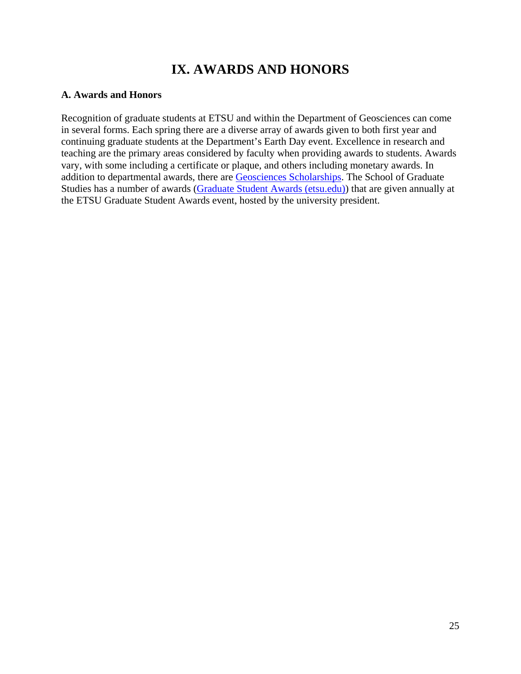## **IX. AWARDS AND HONORS**

#### **A. Awards and Honors**

Recognition of graduate students at ETSU and within the Department of Geosciences can come in several forms. Each spring there are a diverse array of awards given to both first year and continuing graduate students at the Department's Earth Day event. Excellence in research and teaching are the primary areas considered by faculty when providing awards to students. Awards vary, with some including a certificate or plaque, and others including monetary awards. In addition to departmental awards, there are [Geosciences Scholarships.](https://www.etsu.edu/cas/geosciences/scholarship-information.php) The School of Graduate Studies has a number of awards [\(Graduate Student Awards \(etsu.edu\)\)](https://www.etsu.edu/gradschool/funding/awards.php) that are given annually at the ETSU Graduate Student Awards event, hosted by the university president.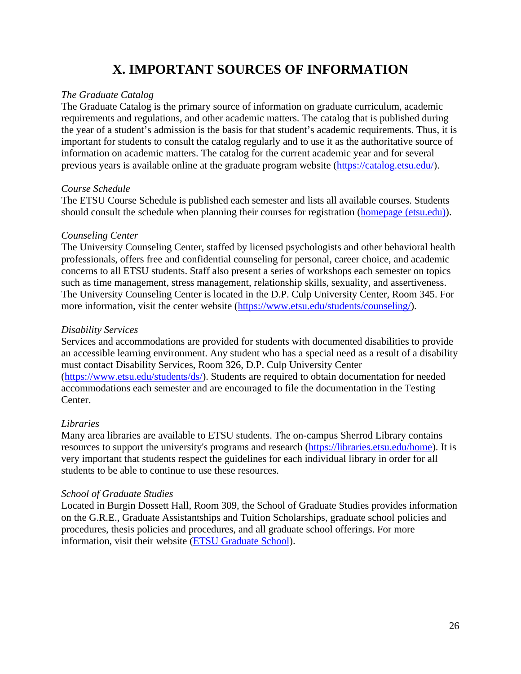## **X. IMPORTANT SOURCES OF INFORMATION**

#### *The Graduate Catalog*

The Graduate Catalog is the primary source of information on graduate curriculum, academic requirements and regulations, and other academic matters. The catalog that is published during the year of a student's admission is the basis for that student's academic requirements. Thus, it is important for students to consult the catalog regularly and to use it as the authoritative source of information on academic matters. The catalog for the current academic year and for several previous years is available online at the graduate program website [\(https://catalog.etsu.edu/\)](https://catalog.etsu.edu/).

#### *Course Schedule*

The ETSU Course Schedule is published each semester and lists all available courses. Students should consult the schedule when planning their courses for registration [\(homepage \(etsu.edu\)\)](https://selfserv.etsu.edu/pls/PROD/twbkwbis.P_GenMenu?name=homepage).

#### *Counseling Center*

The University Counseling Center, staffed by licensed psychologists and other behavioral health professionals, offers free and confidential counseling for personal, career choice, and academic concerns to all ETSU students. Staff also present a series of workshops each semester on topics such as time management, stress management, relationship skills, sexuality, and assertiveness. The University Counseling Center is located in the D.P. Culp University Center, Room 345. For more information, visit the center website [\(https://www.etsu.edu/students/counseling/\)](https://www.etsu.edu/students/counseling/).

#### *Disability Services*

Services and accommodations are provided for students with documented disabilities to provide an accessible learning environment. Any student who has a special need as a result of a disability must contact Disability Services, Room 326, D.P. Culp University Center [\(https://www.etsu.edu/students/ds/\)](https://www.etsu.edu/students/ds/). Students are required to obtain documentation for needed accommodations each semester and are encouraged to file the documentation in the Testing Center.

#### *Libraries*

Many area libraries are available to ETSU students. The on-campus Sherrod Library contains resources to support the university's programs and research [\(https://libraries.etsu.edu/home\)](https://libraries.etsu.edu/home). It is very important that students respect the guidelines for each individual library in order for all students to be able to continue to use these resources.

#### *School of Graduate Studies*

Located in Burgin Dossett Hall, Room 309, the School of Graduate Studies provides information on the G.R.E., Graduate Assistantships and Tuition Scholarships, graduate school policies and procedures, thesis policies and procedures, and all graduate school offerings. For more information, visit their website [\(ETSU Graduate School\)](https://www.etsu.edu/gradschool/default.php).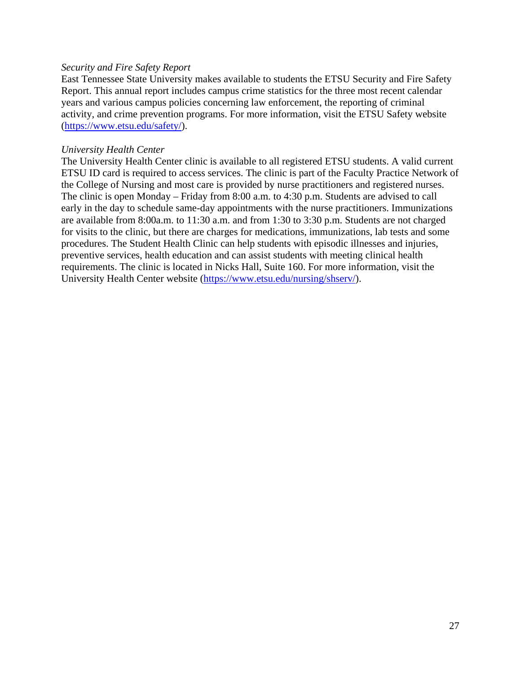#### *Security and Fire Safety Report*

East Tennessee State University makes available to students the ETSU Security and Fire Safety Report. This annual report includes campus crime statistics for the three most recent calendar years and various campus policies concerning law enforcement, the reporting of criminal activity, and crime prevention programs. For more information, visit the ETSU Safety website [\(https://www.etsu.edu/safety/\)](https://www.etsu.edu/safety/).

#### *University Health Center*

The University Health Center clinic is available to all registered ETSU students. A valid current ETSU ID card is required to access services. The clinic is part of the Faculty Practice Network of the College of Nursing and most care is provided by nurse practitioners and registered nurses. The clinic is open Monday – Friday from 8:00 a.m. to 4:30 p.m. Students are advised to call early in the day to schedule same-day appointments with the nurse practitioners. Immunizations are available from 8:00a.m. to 11:30 a.m. and from 1:30 to 3:30 p.m. Students are not charged for visits to the clinic, but there are charges for medications, immunizations, lab tests and some procedures. The Student Health Clinic can help students with episodic illnesses and injuries, preventive services, health education and can assist students with meeting clinical health requirements. The clinic is located in Nicks Hall, Suite 160. For more information, visit the University Health Center website [\(https://www.etsu.edu/nursing/shserv/\)](https://www.etsu.edu/nursing/shserv/).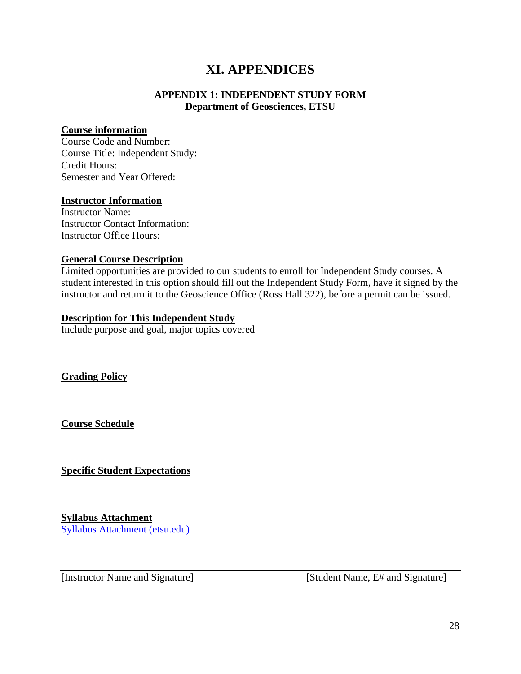### **XI. APPENDICES**

#### **APPENDIX 1: INDEPENDENT STUDY FORM Department of Geosciences, ETSU**

#### **Course information**

Course Code and Number: Course Title: Independent Study: Credit Hours: Semester and Year Offered:

#### **Instructor Information**

Instructor Name: Instructor Contact Information: Instructor Office Hours:

#### **General Course Description**

Limited opportunities are provided to our students to enroll for Independent Study courses. A student interested in this option should fill out the Independent Study Form, have it signed by the instructor and return it to the Geoscience Office (Ross Hall 322), before a permit can be issued.

#### **Description for This Independent Study**

Include purpose and goal, major topics covered

**Grading Policy**

**Course Schedule**

**Specific Student Expectations**

**Syllabus Attachment**  [Syllabus Attachment \(etsu.edu\)](https://www.etsu.edu/curriculum-innovation/syllabusattachment.php)

[Instructor Name and Signature] [Student Name, E# and Signature]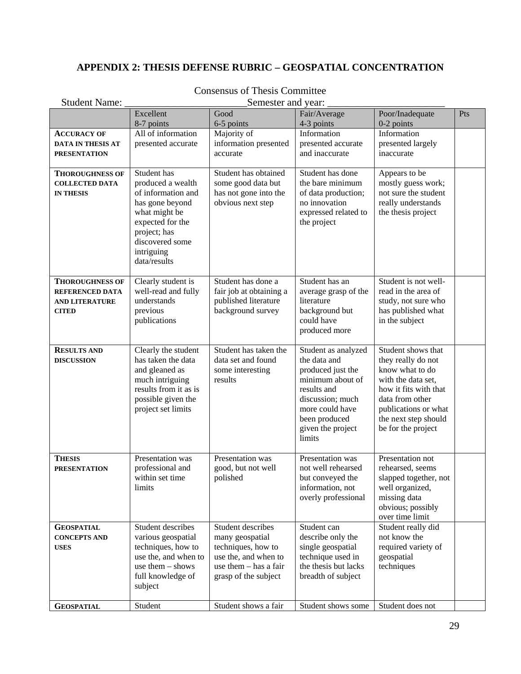### **APPENDIX 2: THESIS DEFENSE RUBRIC – GEOSPATIAL CONCENTRATION**

| <b>Student Name:</b>                                                                      | Semester and year:                                                                                                                                                              |                                                                                                                                     |                                                                                                                                                                                    |                                                                                                                                                                                                     |     |
|-------------------------------------------------------------------------------------------|---------------------------------------------------------------------------------------------------------------------------------------------------------------------------------|-------------------------------------------------------------------------------------------------------------------------------------|------------------------------------------------------------------------------------------------------------------------------------------------------------------------------------|-----------------------------------------------------------------------------------------------------------------------------------------------------------------------------------------------------|-----|
|                                                                                           | Excellent<br>8-7 points                                                                                                                                                         | Good<br>6-5 points                                                                                                                  | Fair/Average<br>4-3 points                                                                                                                                                         | Poor/Inadequate<br>$0-2$ points                                                                                                                                                                     | Pts |
| <b>ACCURACY OF</b><br><b>DATA IN THESIS AT</b><br><b>PRESENTATION</b>                     | All of information<br>presented accurate                                                                                                                                        | Majority of<br>information presented<br>accurate                                                                                    | Information<br>presented accurate<br>and inaccurate                                                                                                                                | Information<br>presented largely<br>inaccurate                                                                                                                                                      |     |
| <b>THOROUGHNESS OF</b><br><b>COLLECTED DATA</b><br><b>IN THESIS</b>                       | Student has<br>produced a wealth<br>of information and<br>has gone beyond<br>what might be<br>expected for the<br>project; has<br>discovered some<br>intriguing<br>data/results | Student has obtained<br>some good data but<br>has not gone into the<br>obvious next step                                            | Student has done<br>the bare minimum<br>of data production;<br>no innovation<br>expressed related to<br>the project                                                                | Appears to be<br>mostly guess work;<br>not sure the student<br>really understands<br>the thesis project                                                                                             |     |
| <b>THOROUGHNESS OF</b><br><b>REFERENCED DATA</b><br><b>AND LITERATURE</b><br><b>CITED</b> | Clearly student is<br>well-read and fully<br>understands<br>previous<br>publications                                                                                            | Student has done a<br>fair job at obtaining a<br>published literature<br>background survey                                          | Student has an<br>average grasp of the<br>literature<br>background but<br>could have<br>produced more                                                                              | Student is not well-<br>read in the area of<br>study, not sure who<br>has published what<br>in the subject                                                                                          |     |
| <b>RESULTS AND</b><br><b>DISCUSSION</b>                                                   | Clearly the student<br>has taken the data<br>and gleaned as<br>much intriguing<br>results from it as is<br>possible given the<br>project set limits                             | Student has taken the<br>data set and found<br>some interesting<br>results                                                          | Student as analyzed<br>the data and<br>produced just the<br>minimum about of<br>results and<br>discussion; much<br>more could have<br>been produced<br>given the project<br>limits | Student shows that<br>they really do not<br>know what to do<br>with the data set,<br>how it fits with that<br>data from other<br>publications or what<br>the next step should<br>be for the project |     |
| <b>THESIS</b><br><b>PRESENTATION</b>                                                      | Presentation was<br>professional and<br>within set time<br>limits                                                                                                               | Presentation was<br>good, but not well<br>polished                                                                                  | Presentation was<br>not well rehearsed<br>but conveyed the<br>information, not<br>overly professional                                                                              | Presentation not<br>rehearsed, seems<br>slapped together, not<br>well organized,<br>missing data<br>obvious; possibly<br>over time limit                                                            |     |
| <b>GEOSPATIAL</b><br><b>CONCEPTS AND</b><br><b>USES</b>                                   | Student describes<br>various geospatial<br>techniques, how to<br>use the, and when to<br>use them $-$ shows<br>full knowledge of<br>subject                                     | Student describes<br>many geospatial<br>techniques, how to<br>use the, and when to<br>use them - has a fair<br>grasp of the subject | Student can<br>describe only the<br>single geospatial<br>technique used in<br>the thesis but lacks<br>breadth of subject                                                           | Student really did<br>not know the<br>required variety of<br>geospatial<br>techniques                                                                                                               |     |
| <b>GEOSPATIAL</b>                                                                         | Student                                                                                                                                                                         | Student shows a fair                                                                                                                | Student shows some                                                                                                                                                                 | Student does not                                                                                                                                                                                    |     |

### Consensus of Thesis Committee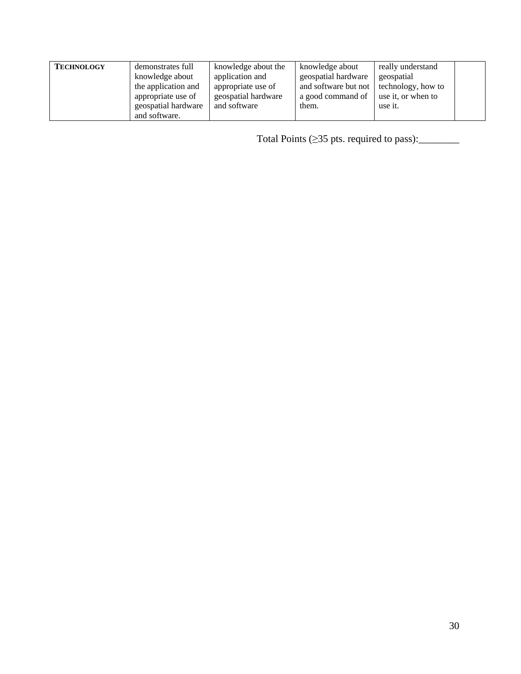| <b>TECHNOLOGY</b> | demonstrates full   | knowledge about the | knowledge about      | really understand  |  |
|-------------------|---------------------|---------------------|----------------------|--------------------|--|
|                   | knowledge about     | application and     | geospatial hardware  | geospatial         |  |
|                   | the application and | appropriate use of  | and software but not | technology, how to |  |
|                   | appropriate use of  | geospatial hardware | a good command of    | use it, or when to |  |
|                   | geospatial hardware | and software        | them.                | use it.            |  |
|                   | and software.       |                     |                      |                    |  |

Total Points  $(≥35$  pts. required to pass): $\_\_\_\_\_\_\_\_\_$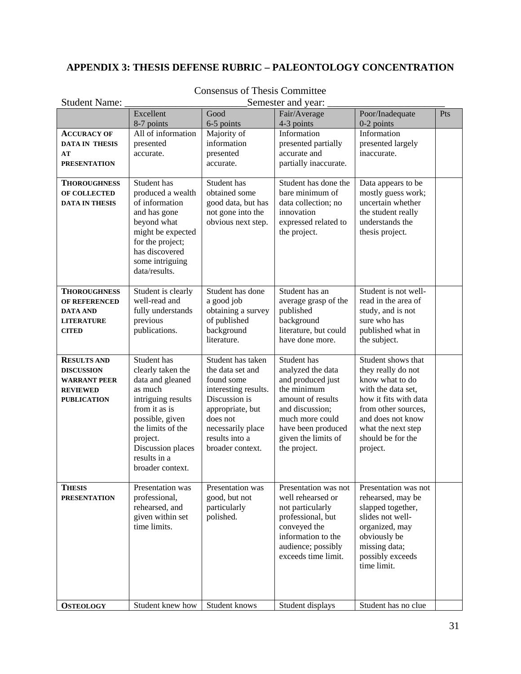### **APPENDIX 3: THESIS DEFENSE RUBRIC – PALEONTOLOGY CONCENTRATION**

| <b>Student Name:</b>                  | Semester and year:                    |                                       |                                           |                                             |     |
|---------------------------------------|---------------------------------------|---------------------------------------|-------------------------------------------|---------------------------------------------|-----|
|                                       | Excellent                             | Good                                  | Fair/Average                              | Poor/Inadequate                             | Pts |
|                                       | 8-7 points                            | 6-5 points                            | 4-3 points                                | $0-2$ points                                |     |
| <b>ACCURACY OF</b>                    | All of information                    | Majority of                           | Information                               | Information                                 |     |
| <b>DATA IN THESIS</b>                 | presented                             | information                           | presented partially                       | presented largely                           |     |
| AT                                    | accurate.                             | presented                             | accurate and                              | inaccurate.                                 |     |
| <b>PRESENTATION</b>                   |                                       | accurate.                             | partially inaccurate.                     |                                             |     |
| <b>THOROUGHNESS</b>                   | Student has                           | Student has                           | Student has done the                      | Data appears to be                          |     |
| <b>OF COLLECTED</b>                   | produced a wealth                     | obtained some                         | bare minimum of                           | mostly guess work;                          |     |
| <b>DATA IN THESIS</b>                 | of information                        | good data, but has                    | data collection; no                       | uncertain whether                           |     |
|                                       | and has gone                          | not gone into the                     | innovation                                | the student really                          |     |
|                                       | beyond what                           | obvious next step.                    | expressed related to                      | understands the                             |     |
|                                       | might be expected<br>for the project; |                                       | the project.                              | thesis project.                             |     |
|                                       | has discovered                        |                                       |                                           |                                             |     |
|                                       | some intriguing                       |                                       |                                           |                                             |     |
|                                       | data/results.                         |                                       |                                           |                                             |     |
|                                       |                                       |                                       |                                           |                                             |     |
| <b>THOROUGHNESS</b>                   | Student is clearly                    | Student has done                      | Student has an                            | Student is not well-                        |     |
| <b>OF REFERENCED</b>                  | well-read and                         | a good job                            | average grasp of the                      | read in the area of                         |     |
| <b>DATA AND</b><br><b>LITERATURE</b>  | fully understands<br>previous         | obtaining a survey<br>of published    | published<br>background                   | study, and is not<br>sure who has           |     |
| <b>CITED</b>                          | publications.                         | background                            | literature, but could                     | published what in                           |     |
|                                       |                                       | literature.                           | have done more.                           | the subject.                                |     |
|                                       |                                       |                                       |                                           |                                             |     |
| <b>RESULTS AND</b>                    | Student has                           | Student has taken                     | Student has                               | Student shows that                          |     |
| <b>DISCUSSION</b>                     | clearly taken the                     | the data set and                      | analyzed the data                         | they really do not                          |     |
| <b>WARRANT PEER</b>                   | data and gleaned                      | found some                            | and produced just<br>the minimum          | know what to do                             |     |
| <b>REVIEWED</b><br><b>PUBLICATION</b> | as much<br>intriguing results         | interesting results.<br>Discussion is | amount of results                         | with the data set,<br>how it fits with data |     |
|                                       | from it as is                         | appropriate, but                      | and discussion;                           | from other sources,                         |     |
|                                       | possible, given                       | does not                              | much more could                           | and does not know                           |     |
|                                       | the limits of the                     | necessarily place                     | have been produced                        | what the next step                          |     |
|                                       | project.                              | results into a                        | given the limits of                       | should be for the                           |     |
|                                       | Discussion places                     | broader context.                      | the project.                              | project.                                    |     |
|                                       | results in a                          |                                       |                                           |                                             |     |
|                                       | broader context.                      |                                       |                                           |                                             |     |
| <b>THESIS</b>                         | Presentation was                      | Presentation was                      | Presentation was not                      | Presentation was not                        |     |
| <b>PRESENTATION</b>                   | professional,                         | good, but not                         | well rehearsed or                         | rehearsed, may be                           |     |
|                                       | rehearsed, and                        | particularly                          | not particularly                          | slapped together,                           |     |
|                                       | given within set                      | polished.                             | professional, but                         | slides not well-                            |     |
|                                       | time limits.                          |                                       | conveyed the                              | organized, may                              |     |
|                                       |                                       |                                       | information to the                        | obviously be                                |     |
|                                       |                                       |                                       | audience; possibly<br>exceeds time limit. | missing data;<br>possibly exceeds           |     |
|                                       |                                       |                                       |                                           | time limit.                                 |     |
|                                       |                                       |                                       |                                           |                                             |     |
|                                       |                                       |                                       |                                           |                                             |     |
|                                       |                                       |                                       |                                           |                                             |     |
| <b>OSTEOLOGY</b>                      | Student knew how                      | Student knows                         | Student displays                          | Student has no clue                         |     |

### Consensus of Thesis Committee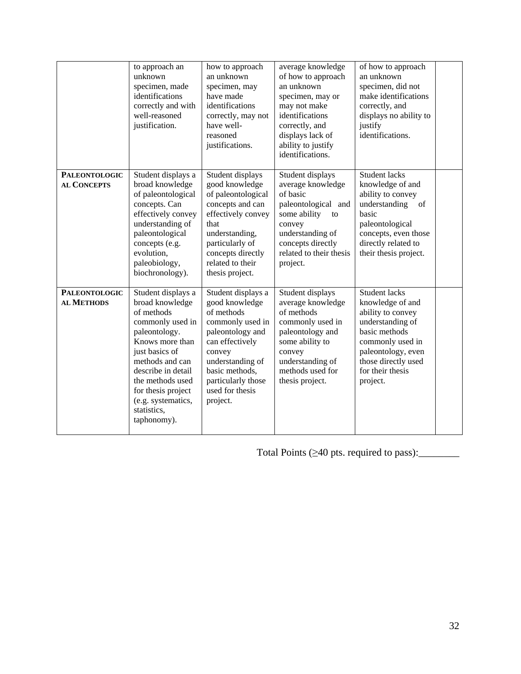|                                            | to approach an<br>unknown<br>specimen, made<br>identifications<br>correctly and with<br>well-reasoned<br>justification.                                                                                                                                              | how to approach<br>an unknown<br>specimen, may<br>have made<br>identifications<br>correctly, may not<br>have well-<br>reasoned<br>justifications.                                                                  | average knowledge<br>of how to approach<br>an unknown<br>specimen, may or<br>may not make<br>identifications<br>correctly, and<br>displays lack of<br>ability to justify<br>identifications. | of how to approach<br>an unknown<br>specimen, did not<br>make identifications<br>correctly, and<br>displays no ability to<br>justify<br>identifications.                                     |  |
|--------------------------------------------|----------------------------------------------------------------------------------------------------------------------------------------------------------------------------------------------------------------------------------------------------------------------|--------------------------------------------------------------------------------------------------------------------------------------------------------------------------------------------------------------------|----------------------------------------------------------------------------------------------------------------------------------------------------------------------------------------------|----------------------------------------------------------------------------------------------------------------------------------------------------------------------------------------------|--|
| <b>PALEONTOLOGIC</b><br><b>AL CONCEPTS</b> | Student displays a<br>broad knowledge<br>of paleontological<br>concepts. Can<br>effectively convey<br>understanding of<br>paleontological<br>concepts (e.g.<br>evolution,<br>paleobiology,<br>biochronology).                                                        | Student displays<br>good knowledge<br>of paleontological<br>concepts and can<br>effectively convey<br>that<br>understanding,<br>particularly of<br>concepts directly<br>related to their<br>thesis project.        | Student displays<br>average knowledge<br>of basic<br>paleontological and<br>some ability<br>to<br>convey<br>understanding of<br>concepts directly<br>related to their thesis<br>project.     | Student lacks<br>knowledge of and<br>ability to convey<br>understanding<br>of<br>basic<br>paleontological<br>concepts, even those<br>directly related to<br>their thesis project.            |  |
| <b>PALEONTOLOGIC</b><br><b>AL METHODS</b>  | Student displays a<br>broad knowledge<br>of methods<br>commonly used in<br>paleontology.<br>Knows more than<br>just basics of<br>methods and can<br>describe in detail<br>the methods used<br>for thesis project<br>(e.g. systematics,<br>statistics,<br>taphonomy). | Student displays a<br>good knowledge<br>of methods<br>commonly used in<br>paleontology and<br>can effectively<br>convey<br>understanding of<br>basic methods,<br>particularly those<br>used for thesis<br>project. | Student displays<br>average knowledge<br>of methods<br>commonly used in<br>paleontology and<br>some ability to<br>convey<br>understanding of<br>methods used for<br>thesis project.          | Student lacks<br>knowledge of and<br>ability to convey<br>understanding of<br>basic methods<br>commonly used in<br>paleontology, even<br>those directly used<br>for their thesis<br>project. |  |

Total Points (≥40 pts. required to pass):\_\_\_\_\_\_\_\_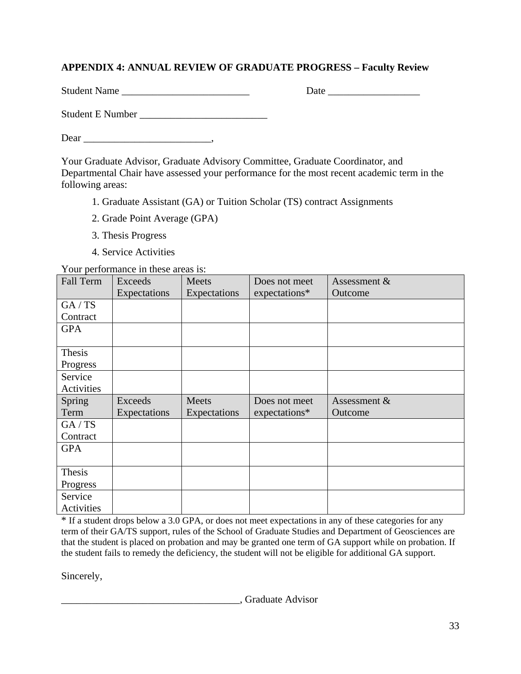### **APPENDIX 4: ANNUAL REVIEW OF GRADUATE PROGRESS – Faculty Review**

Student Name \_\_\_\_\_\_\_\_\_\_\_\_\_\_\_\_\_\_\_\_\_\_\_\_\_ Date \_\_\_\_\_\_\_\_\_\_\_\_\_\_\_\_\_\_

Student E Number

Dear \_\_\_\_\_\_\_\_\_\_\_\_\_\_\_\_\_\_\_\_\_\_\_\_\_,

Your Graduate Advisor, Graduate Advisory Committee, Graduate Coordinator, and Departmental Chair have assessed your performance for the most recent academic term in the following areas:

- 1. Graduate Assistant (GA) or Tuition Scholar (TS) contract Assignments
- 2. Grade Point Average (GPA)
- 3. Thesis Progress
- 4. Service Activities

Your performance in these areas is:

| Fall Term  | Exceeds<br>Expectations | Meets<br>Expectations | Does not meet<br>expectations* | Assessment &<br>Outcome |
|------------|-------------------------|-----------------------|--------------------------------|-------------------------|
| GA/TS      |                         |                       |                                |                         |
| Contract   |                         |                       |                                |                         |
| <b>GPA</b> |                         |                       |                                |                         |
|            |                         |                       |                                |                         |
| Thesis     |                         |                       |                                |                         |
| Progress   |                         |                       |                                |                         |
| Service    |                         |                       |                                |                         |
| Activities |                         |                       |                                |                         |
| Spring     | Exceeds                 | Meets                 | Does not meet                  | Assessment &            |
| Term       | Expectations            | Expectations          | expectations*                  | Outcome                 |
| GA / TS    |                         |                       |                                |                         |
| Contract   |                         |                       |                                |                         |
|            |                         |                       |                                |                         |
| <b>GPA</b> |                         |                       |                                |                         |
|            |                         |                       |                                |                         |
| Thesis     |                         |                       |                                |                         |
| Progress   |                         |                       |                                |                         |
| Service    |                         |                       |                                |                         |

\* If a student drops below a 3.0 GPA, or does not meet expectations in any of these categories for any term of their GA/TS support, rules of the School of Graduate Studies and Department of Geosciences are that the student is placed on probation and may be granted one term of GA support while on probation. If the student fails to remedy the deficiency, the student will not be eligible for additional GA support.

Sincerely,

\_\_\_\_\_\_\_\_\_\_\_\_\_\_\_\_\_\_\_\_\_\_\_\_\_\_\_\_\_\_\_\_\_\_\_, Graduate Advisor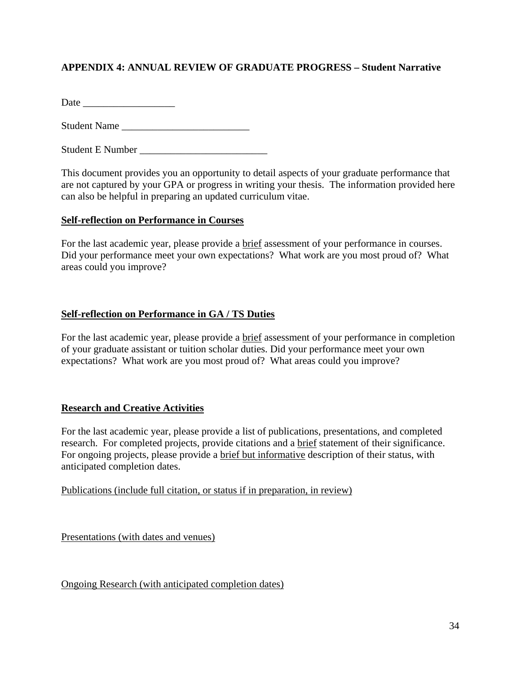### **APPENDIX 4: ANNUAL REVIEW OF GRADUATE PROGRESS – Student Narrative**

Date \_\_\_\_\_\_\_\_\_\_\_\_\_\_\_\_\_\_

Student Name

Student E Number \_\_\_\_\_\_\_\_\_\_\_\_\_\_\_\_\_\_\_\_\_\_\_\_\_

This document provides you an opportunity to detail aspects of your graduate performance that are not captured by your GPA or progress in writing your thesis. The information provided here can also be helpful in preparing an updated curriculum vitae.

#### **Self-reflection on Performance in Courses**

For the last academic year, please provide a brief assessment of your performance in courses. Did your performance meet your own expectations? What work are you most proud of? What areas could you improve?

#### **Self-reflection on Performance in GA / TS Duties**

For the last academic year, please provide a brief assessment of your performance in completion of your graduate assistant or tuition scholar duties. Did your performance meet your own expectations? What work are you most proud of? What areas could you improve?

#### **Research and Creative Activities**

For the last academic year, please provide a list of publications, presentations, and completed research. For completed projects, provide citations and a brief statement of their significance. For ongoing projects, please provide a brief but informative description of their status, with anticipated completion dates.

Publications (include full citation, or status if in preparation, in review)

Presentations (with dates and venues)

Ongoing Research (with anticipated completion dates)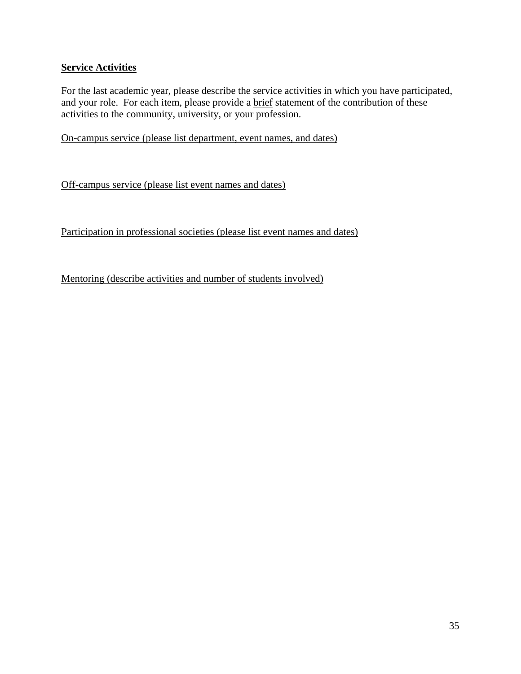#### **Service Activities**

For the last academic year, please describe the service activities in which you have participated, and your role. For each item, please provide a brief statement of the contribution of these activities to the community, university, or your profession.

On-campus service (please list department, event names, and dates)

Off-campus service (please list event names and dates)

Participation in professional societies (please list event names and dates)

Mentoring (describe activities and number of students involved)